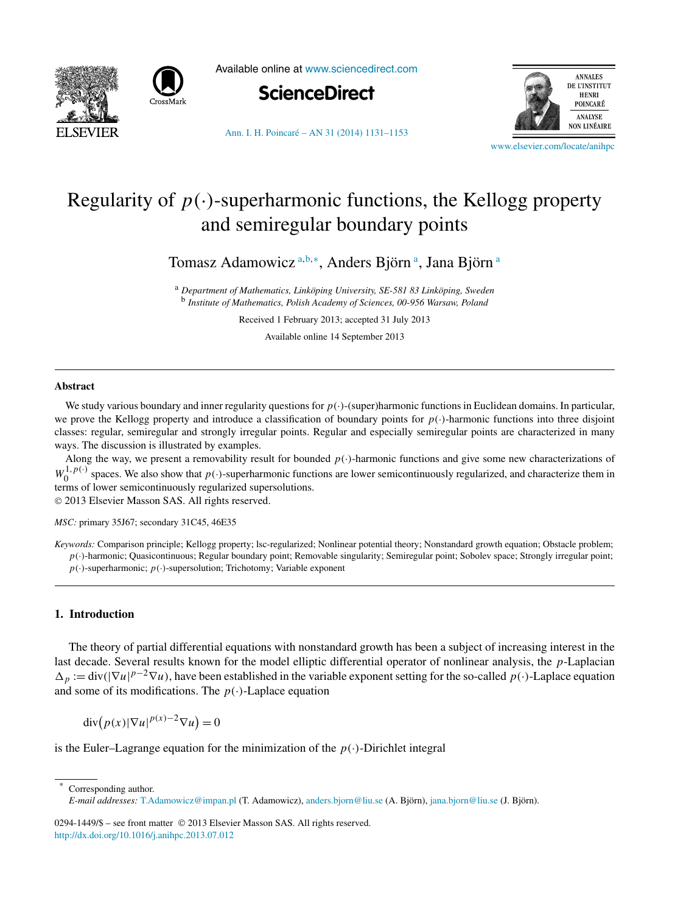



Available online at [www.sciencedirect.com](http://www.sciencedirect.com)





[Ann. I. H. Poincaré – AN 31 \(2014\) 1131–1153](http://dx.doi.org/10.1016/j.anihpc.2013.07.012)

[www.elsevier.com/locate/anihpc](http://www.elsevier.com/locate/anihpc)

# Regularity of  $p(\cdot)$ -superharmonic functions, the Kellogg property and semiregular boundary points

Tomasz Adamowicz <sup>a,b,∗</sup>, Anders Björn <sup>a</sup>, Jana Björn <sup>a</sup>

<sup>a</sup> *Department of Mathematics, Linköping University, SE-581 83 Linköping, Sweden* <sup>b</sup> *Institute of Mathematics, Polish Academy of Sciences, 00-956 Warsaw, Poland*

Received 1 February 2013; accepted 31 July 2013

Available online 14 September 2013

### **Abstract**

We study various boundary and inner regularity questions for  $p(\cdot)$ -(super)harmonic functions in Euclidean domains. In particular, we prove the Kellogg property and introduce a classification of boundary points for  $p(\cdot)$ -harmonic functions into three disjoint classes: regular, semiregular and strongly irregular points. Regular and especially semiregular points are characterized in many ways. The discussion is illustrated by examples.

Along the way, we present a removability result for bounded *p(*·*)*-harmonic functions and give some new characterizations of  $W_0^{1,p(\cdot)}$  spaces. We also show that  $p(\cdot)$ -superharmonic functions are lower semicontinuously regularized, and characterize them in terms of lower semicontinuously regularized supersolutions. © 2013 Elsevier Masson SAS. All rights reserved.

*MSC:* primary 35J67; secondary 31C45, 46E35

*Keywords:* Comparison principle; Kellogg property; lsc-regularized; Nonlinear potential theory; Nonstandard growth equation; Obstacle problem; *p(*·*)*-harmonic; Quasicontinuous; Regular boundary point; Removable singularity; Semiregular point; Sobolev space; Strongly irregular point; *p(*·*)*-superharmonic; *p(*·*)*-supersolution; Trichotomy; Variable exponent

#### **1. Introduction**

The theory of partial differential equations with nonstandard growth has been a subject of increasing interest in the last decade. Several results known for the model elliptic differential operator of nonlinear analysis, the *p*-Laplacian  $\Delta_p := \text{div}(|\nabla u|^{p-2}\nabla u)$ , have been established in the variable exponent setting for the so-called *p(*·*)*-Laplace equation and some of its modifications. The  $p(\cdot)$ -Laplace equation

 $\operatorname{div}(p(x)|\nabla u|^{p(x)-2}\nabla u)=0$ 

is the Euler–Lagrange equation for the minimization of the  $p(\cdot)$ -Dirichlet integral

Corresponding author. *E-mail addresses:* [T.Adamowicz@impan.pl](mailto:T.Adamowicz@impan.pl) (T. Adamowicz), [anders.bjorn@liu.se](mailto:anders.bjorn@liu.se) (A. Björn), [jana.bjorn@liu.se](mailto:jana.bjorn@liu.se) (J. Björn).

0294-1449/\$ – see front matter © 2013 Elsevier Masson SAS. All rights reserved. <http://dx.doi.org/10.1016/j.anihpc.2013.07.012>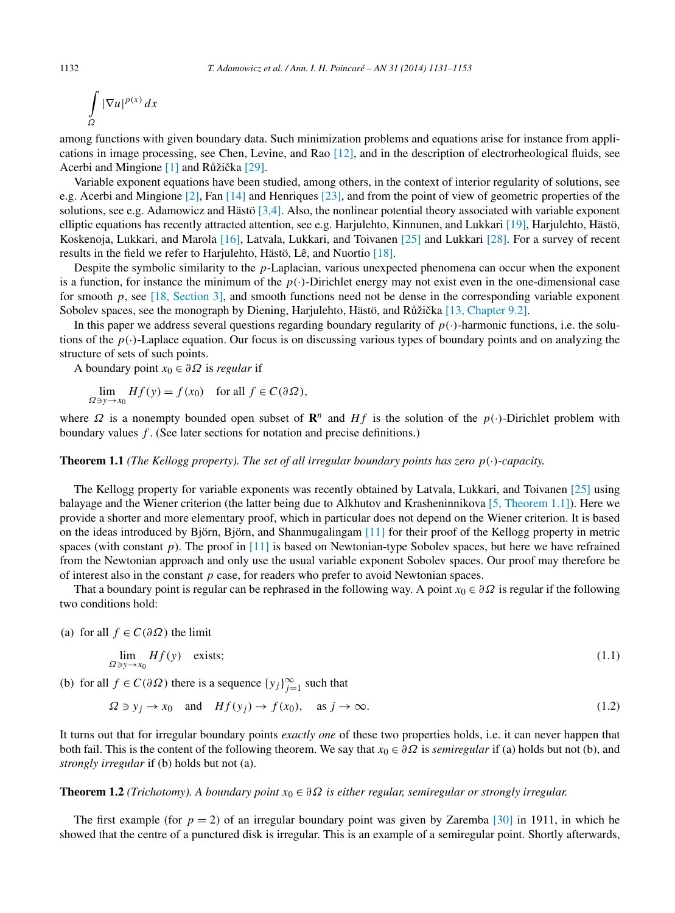<span id="page-1-0"></span>
$$
\int\limits_\Omega |\nabla u|^{p(x)}\,dx
$$

among functions with given boundary data. Such minimization problems and equations arise for instance from applications in image processing, see Chen, Levine, and Rao [\[12\],](#page-22-0) and in the description of electrorheological fluids, see Acerbi and Mingione  $[1]$  and Růžička  $[29]$ .

Variable exponent equations have been studied, among others, in the context of interior regularity of solutions, see e.g. Acerbi and Mingione [\[2\],](#page-21-0) Fan [\[14\]](#page-22-0) and Henriques [\[23\],](#page-22-0) and from the point of view of geometric properties of the solutions, see e.g. Adamowicz and Hästö [\[3,4\].](#page-21-0) Also, the nonlinear potential theory associated with variable exponent elliptic equations has recently attracted attention, see e.g. Harjulehto, Kinnunen, and Lukkari [\[19\],](#page-22-0) Harjulehto, Hästö, Koskenoja, Lukkari, and Marola [\[16\],](#page-22-0) Latvala, Lukkari, and Toivanen [\[25\]](#page-22-0) and Lukkari [\[28\].](#page-22-0) For a survey of recent results in the field we refer to Harjulehto, Hästö, Lê, and Nuortio [\[18\].](#page-22-0)

Despite the symbolic similarity to the *p*-Laplacian, various unexpected phenomena can occur when the exponent is a function, for instance the minimum of the  $p(\cdot)$ -Dirichlet energy may not exist even in the one-dimensional case for smooth p, see [\[18, Section 3\],](#page-22-0) and smooth functions need not be dense in the corresponding variable exponent Sobolev spaces, see the monograph by Diening, Harjulehto, Hästö, and Růžička [\[13, Chapter 9.2\].](#page-22-0)

In this paper we address several questions regarding boundary regularity of  $p(\cdot)$ -harmonic functions, i.e. the solutions of the  $p(\cdot)$ -Laplace equation. Our focus is on discussing various types of boundary points and on analyzing the structure of sets of such points.

A boundary point *x*<sup>0</sup> ∈ *∂Ω* is *regular* if

$$
\lim_{\Omega \ni y \to x_0} Hf(y) = f(x_0) \quad \text{for all } f \in C(\partial \Omega),
$$

where  $\Omega$  is a nonempty bounded open subset of  $\mathbb{R}^n$  and  $Hf$  is the solution of the  $p(\cdot)$ -Dirichlet problem with boundary values *f* . (See later sections for notation and precise definitions.)

## **Theorem 1.1** *(The Kellogg property). The set of all irregular boundary points has zero p(*·*)-capacity.*

The Kellogg property for variable exponents was recently obtained by Latvala, Lukkari, and Toivanen [\[25\]](#page-22-0) using balayage and the Wiener criterion (the latter being due to Alkhutov and Krasheninnikova [\[5, Theorem 1.1\]\)](#page-21-0). Here we provide a shorter and more elementary proof, which in particular does not depend on the Wiener criterion. It is based on the ideas introduced by Björn, Björn, and Shanmugalingam [\[11\]](#page-22-0) for their proof of the Kellogg property in metric spaces (with constant *p*). The proof in [\[11\]](#page-22-0) is based on Newtonian-type Sobolev spaces, but here we have refrained from the Newtonian approach and only use the usual variable exponent Sobolev spaces. Our proof may therefore be of interest also in the constant *p* case, for readers who prefer to avoid Newtonian spaces.

That a boundary point is regular can be rephrased in the following way. A point *x*<sup>0</sup> ∈ *∂Ω* is regular if the following two conditions hold:

(a) for all  $f \in C(\partial \Omega)$  the limit

$$
\lim_{\Omega \ni y \to x_0} Hf(y) \quad \text{exists}; \tag{1.1}
$$

(b) for all  $f \in C(\partial \Omega)$  there is a sequence  $\{y_j\}_{j=1}^{\infty}$  such that

$$
\Omega \ni y_j \to x_0 \quad \text{and} \quad Hf(y_j) \to f(x_0), \quad \text{as } j \to \infty.
$$
 (1.2)

It turns out that for irregular boundary points *exactly one* of these two properties holds, i.e. it can never happen that both fail. This is the content of the following theorem. We say that  $x_0 \in \partial \Omega$  is *semiregular* if (a) holds but not (b), and *strongly irregular* if (b) holds but not (a).

# **Theorem 1.2** *(Trichotomy). A boundary point x*<sup>0</sup> ∈ *∂Ω is either regular, semiregular or strongly irregular.*

The first example (for  $p = 2$ ) of an irregular boundary point was given by Zaremba [\[30\]](#page-22-0) in 1911, in which he showed that the centre of a punctured disk is irregular. This is an example of a semiregular point. Shortly afterwards,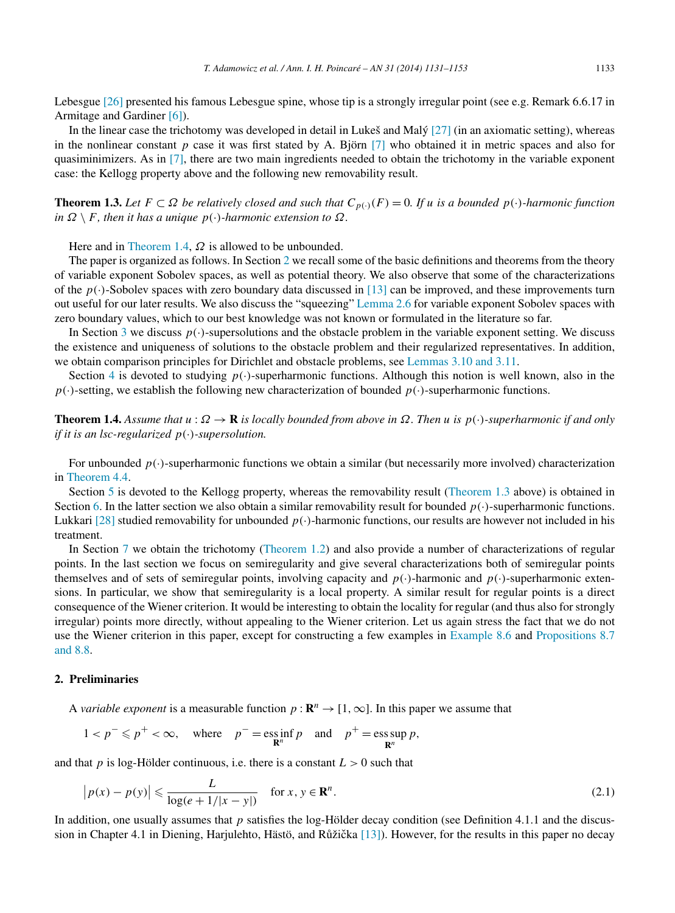<span id="page-2-0"></span>Lebesgue [\[26\]](#page-22-0) presented his famous Lebesgue spine, whose tip is a strongly irregular point (see e.g. Remark 6.6.17 in Armitage and Gardiner [\[6\]\)](#page-21-0).

In the linear case the trichotomy was developed in detail in Lukeš and Malý [\[27\]](#page-22-0) (in an axiomatic setting), whereas in the nonlinear constant  $p$  case it was first stated by A. Björn  $[7]$  who obtained it in metric spaces and also for quasiminimizers. As in [\[7\],](#page-21-0) there are two main ingredients needed to obtain the trichotomy in the variable exponent case: the Kellogg property above and the following new removability result.

**Theorem 1.3.** *Let F* ⊂ *Ω be relatively closed and such that*  $C_{p(·)}(F) = 0$ *. If u is a bounded*  $p(·)$ *-harmonic function*  $in \Omega \setminus F$ , then it has a unique  $p(\cdot)$ *-harmonic extension to*  $\Omega$ *.* 

Here and in Theorem 1.4,  $\Omega$  is allowed to be unbounded.

The paper is organized as follows. In Section 2 we recall some of the basic definitions and theorems from the theory of variable exponent Sobolev spaces, as well as potential theory. We also observe that some of the characterizations of the  $p(\cdot)$ -Sobolev spaces with zero boundary data discussed in [\[13\]](#page-22-0) can be improved, and these improvements turn out useful for our later results. We also discuss the "squeezing" [Lemma 2.6](#page-4-0) for variable exponent Sobolev spaces with zero boundary values, which to our best knowledge was not known or formulated in the literature so far.

In Section [3](#page-5-0) we discuss  $p(\cdot)$ -supersolutions and the obstacle problem in the variable exponent setting. We discuss the existence and uniqueness of solutions to the obstacle problem and their regularized representatives. In addition, we obtain comparison principles for Dirichlet and obstacle problems, see [Lemmas 3.10 and 3.11.](#page-7-0)

Section [4](#page-8-0) is devoted to studying  $p(\cdot)$ -superharmonic functions. Although this notion is well known, also in the  $p(\cdot)$ -setting, we establish the following new characterization of bounded  $p(\cdot)$ -superharmonic functions.

**Theorem 1.4.** *Assume that*  $u : \Omega \to \mathbf{R}$  *is locally bounded from above in*  $\Omega$ *. Then*  $u$  *is*  $p(\cdot)$ *-superharmonic if and only if it is an lsc-regularized p(*·*)-supersolution.*

For unbounded  $p(\cdot)$ -superharmonic functions we obtain a similar (but necessarily more involved) characterization in [Theorem 4.4.](#page-9-0)

Section [5](#page-10-0) is devoted to the Kellogg property, whereas the removability result (Theorem 1.3 above) is obtained in Section [6.](#page-12-0) In the latter section we also obtain a similar removability result for bounded  $p(\cdot)$ -superharmonic functions. Lukkari [\[28\]](#page-22-0) studied removability for unbounded  $p(\cdot)$ -harmonic functions, our results are however not included in his treatment.

In Section [7](#page-15-0) we obtain the trichotomy [\(Theorem 1.2\)](#page-1-0) and also provide a number of characterizations of regular points. In the last section we focus on semiregularity and give several characterizations both of semiregular points themselves and of sets of semiregular points, involving capacity and  $p(\cdot)$ -harmonic and  $p(\cdot)$ -superharmonic extensions. In particular, we show that semiregularity is a local property. A similar result for regular points is a direct consequence of the Wiener criterion. It would be interesting to obtain the locality for regular (and thus also for strongly irregular) points more directly, without appealing to the Wiener criterion. Let us again stress the fact that we do not use the Wiener criterion in this paper, except for constructing a few examples in [Example 8.6](#page-21-0) and [Propositions 8.7](#page-21-0) [and 8.8.](#page-21-0)

# **2. Preliminaries**

A *variable exponent* is a measurable function  $p : \mathbb{R}^n \to [1, \infty]$ . In this paper we assume that

$$
1 < p^- \leqslant p^+ < \infty, \quad \text{where} \quad p^- = \operatorname*{ess\,inf}_{\mathbf{R}^n} p \quad \text{and} \quad p^+ = \operatorname*{ess\,sup}_{\mathbf{R}^n} p,
$$

and that  $p$  is log-Hölder continuous, i.e. there is a constant  $L > 0$  such that

$$
\left| p(x) - p(y) \right| \leqslant \frac{L}{\log(e + 1/|x - y|)} \quad \text{for } x, y \in \mathbf{R}^n. \tag{2.1}
$$

In addition, one usually assumes that *p* satisfies the log-Hölder decay condition (see Definition 4.1.1 and the discussion in Chapter 4.1 in Diening, Harjulehto, Hästö, and Růžička  $[13]$ ). However, for the results in this paper no decay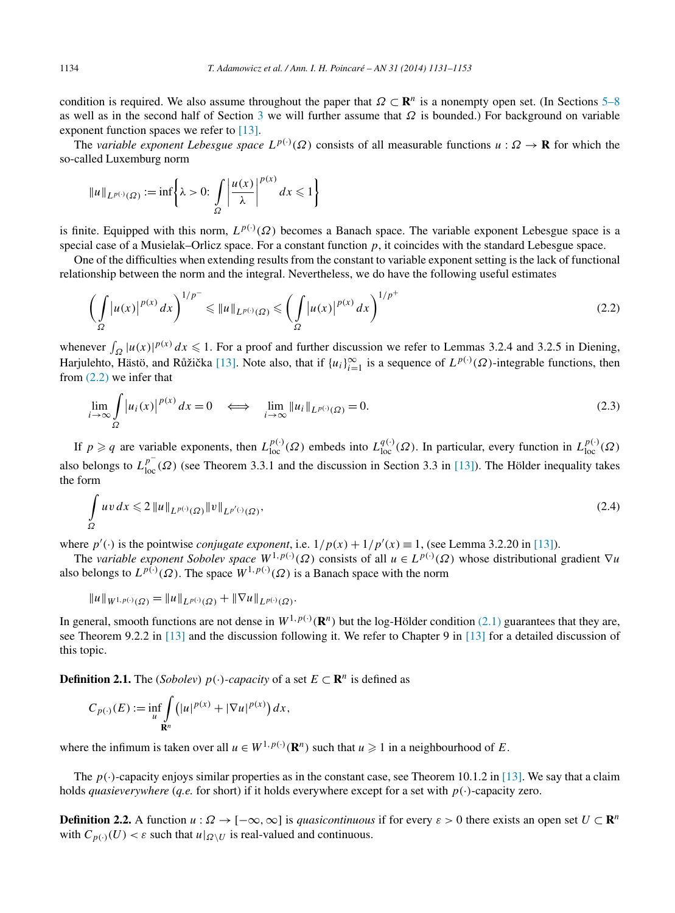<span id="page-3-0"></span>condition is required. We also assume throughout the paper that  $\Omega \subset \mathbb{R}^n$  is a nonempty open set. (In Sections [5–8](#page-10-0) as well as in the second half of Section [3](#page-5-0) we will further assume that *Ω* is bounded.) For background on variable exponent function spaces we refer to [\[13\].](#page-22-0)

The *variable exponent Lebesgue space*  $L^{p(\cdot)}(\Omega)$  consists of all measurable functions  $u : \Omega \to \mathbf{R}$  for which the so-called Luxemburg norm

$$
||u||_{L^{p(\cdot)}(\Omega)} := \inf \left\{ \lambda > 0 : \int\limits_{\Omega} \left| \frac{u(x)}{\lambda} \right|^{p(x)} dx \leq 1 \right\}
$$

is finite. Equipped with this norm,  $L^{p(\cdot)}(\Omega)$  becomes a Banach space. The variable exponent Lebesgue space is a special case of a Musielak–Orlicz space. For a constant function  $p$ , it coincides with the standard Lebesgue space.

One of the difficulties when extending results from the constant to variable exponent setting is the lack of functional relationship between the norm and the integral. Nevertheless, we do have the following useful estimates

$$
\left(\int_{\Omega} |u(x)|^{p(x)} dx\right)^{1/p^{-}} \leq \|u\|_{L^{p(\cdot)}(\Omega)} \leq \left(\int_{\Omega} |u(x)|^{p(x)} dx\right)^{1/p^{+}}
$$
\n(2.2)

whenever  $\int_{\Omega} |u(x)|^{p(x)} dx \leq 1$ . For a proof and further discussion we refer to Lemmas 3.2.4 and 3.2.5 in Diening, Harjulehto, Hästö, and Růžička [\[13\].](#page-22-0) Note also, that if  $\{u_i\}_{i=1}^{\infty}$  is a sequence of  $L^{p(\cdot)}(\Omega)$ -integrable functions, then from (2.2) we infer that

$$
\lim_{i \to \infty} \int_{\Omega} |u_i(x)|^{p(x)} dx = 0 \iff \lim_{i \to \infty} \|u_i\|_{L^{p(\cdot)}(\Omega)} = 0.
$$
\n(2.3)

If  $p \geq q$  are variable exponents, then  $L_{loc}^{p(\cdot)}(\Omega)$  embeds into  $L_{loc}^{q(\cdot)}(\Omega)$ . In particular, every function in  $L_{loc}^{p(\cdot)}(\Omega)$ also belongs to  $L_{loc}^{p^-}(\Omega)$  (see Theorem 3.3.1 and the discussion in Section 3.3 in [\[13\]\)](#page-22-0). The Hölder inequality takes the form

$$
\int_{\Omega} uv \, dx \leqslant 2 \left\| u \right\|_{L^{p(\cdot)}(\Omega)} \left\| v \right\|_{L^{p'(\cdot)}(\Omega)},\tag{2.4}
$$

where  $p'(\cdot)$  is the pointwise *conjugate exponent*, i.e.  $1/p(x) + 1/p'(x) \equiv 1$ , (see Lemma 3.2.20 in [\[13\]\)](#page-22-0).

The *variable exponent Sobolev space*  $W^{1,p(\cdot)}(\Omega)$  consists of all  $u \in L^{p(\cdot)}(\Omega)$  whose distributional gradient  $\nabla u$ also belongs to  $L^{p(\cdot)}(\Omega)$ . The space  $W^{1,p(\cdot)}(\Omega)$  is a Banach space with the norm

$$
||u||_{W^{1,p(\cdot)}(\Omega)} = ||u||_{L^{p(\cdot)}(\Omega)} + ||\nabla u||_{L^{p(\cdot)}(\Omega)}.
$$

In general, smooth functions are not dense in  $W^{1,p(\cdot)}(\mathbb{R}^n)$  but the log-Hölder condition [\(2.1\)](#page-2-0) guarantees that they are, see Theorem 9.2.2 in [\[13\]](#page-22-0) and the discussion following it. We refer to Chapter 9 in [\[13\]](#page-22-0) for a detailed discussion of this topic.

**Definition 2.1.** The (*Sobolev*) *p*(·*)-capacity* of a set  $E \subset \mathbb{R}^n$  is defined as

$$
C_{p(\cdot)}(E) := \inf_{u} \int_{\mathbf{R}^n} (|u|^{p(x)} + |\nabla u|^{p(x)}) dx,
$$

where the infimum is taken over all  $u \in W^{1,p(\cdot)}(\mathbf{R}^n)$  such that  $u \geq 1$  in a neighbourhood of *E*.

The  $p(\cdot)$ -capacity enjoys similar properties as in the constant case, see Theorem 10.1.2 in [\[13\].](#page-22-0) We say that a claim holds *quasieverywhere* (*q.e.* for short) if it holds everywhere except for a set with *p(*·*)*-capacity zero.

**Definition 2.2.** A function  $u : \Omega \to [-\infty, \infty]$  is *quasicontinuous* if for every  $\varepsilon > 0$  there exists an open set  $U \subset \mathbb{R}^n$ with  $C_{p(\cdot)}(U) < \varepsilon$  such that  $u|_{\Omega \setminus U}$  is real-valued and continuous.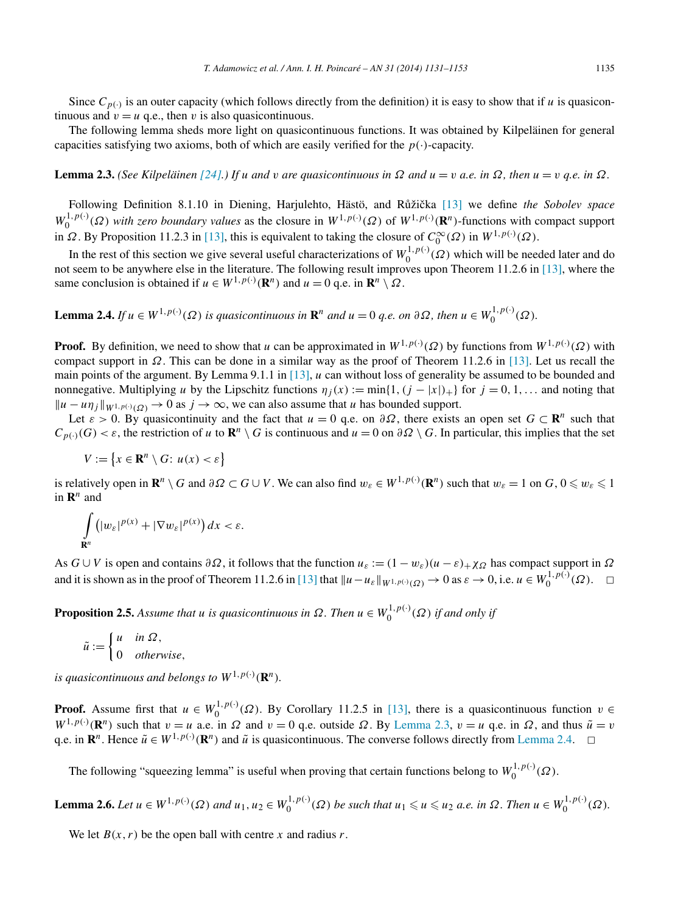<span id="page-4-0"></span>Since  $C_{p(·)}$  is an outer capacity (which follows directly from the definition) it is easy to show that if *u* is quasicontinuous and  $v = u$  q.e., then *v* is also quasicontinuous.

The following lemma sheds more light on quasicontinuous functions. It was obtained by Kilpeläinen for general capacities satisfying two axioms, both of which are easily verified for the  $p(\cdot)$ -capacity.

**Lemma 2.3.** (See Kilpeläinen [\[24\].](#page-22-0)) If u and v are quasicontinuous in  $\Omega$  and  $u = v$  a.e. in  $\Omega$ , then  $u = v$  q.e. in  $\Omega$ .

Following Definition 8.1.10 in Diening, Harjulehto, Hästö, and Růžička [\[13\]](#page-22-0) we define *the Sobolev space*  $W_0^{1,p(\cdot)}(\Omega)$  *with zero boundary values* as the closure in  $W^{1,p(\cdot)}(\Omega)$  of  $W^{1,p(\cdot)}(\mathbf{R}^n)$ -functions with compact support in *Ω*. By Proposition 11.2.3 in [\[13\],](#page-22-0) this is equivalent to taking the closure of  $C_0^{\infty}(\Omega)$  in  $W^{1,p(\cdot)}(\Omega)$ .

In the rest of this section we give several useful characterizations of  $W_0^{1,p(\cdot)}(Q)$  which will be needed later and do not seem to be anywhere else in the literature. The following result improves upon Theorem 11.2.6 in [\[13\],](#page-22-0) where the same conclusion is obtained if  $u \in W^{1,p(\cdot)}(\mathbb{R}^n)$  and  $u = 0$  q.e. in  $\mathbb{R}^n \setminus \Omega$ .

**Lemma 2.4.** If  $u \in W^{1,p(\cdot)}(\Omega)$  is quasicontinuous in  $\mathbb{R}^n$  and  $u = 0$  q.e. on  $\partial\Omega$ , then  $u \in W_0^{1,p(\cdot)}(\Omega)$ .

**Proof.** By definition, we need to show that *u* can be approximated in  $W^{1,p(\cdot)}(\Omega)$  by functions from  $W^{1,p(\cdot)}(\Omega)$  with compact support in *Ω*. This can be done in a similar way as the proof of Theorem 11.2.6 in [\[13\].](#page-22-0) Let us recall the main points of the argument. By Lemma 9.1.1 in [\[13\],](#page-22-0) *u* can without loss of generality be assumed to be bounded and nonnegative. Multiplying *u* by the Lipschitz functions  $\eta_i(x) := \min\{1, (j - |x|)_+\}$  for  $j = 0, 1, \ldots$  and noting that  $||u - u\eta_i||_{W^{1,p(\cdot)}(Q)} \to 0$  as  $j \to \infty$ , we can also assume that *u* has bounded support.

Let  $\varepsilon > 0$ . By quasicontinuity and the fact that  $u = 0$  q.e. on  $\partial \Omega$ , there exists an open set  $G \subset \mathbb{R}^n$  such that  $C_{p(\cdot)}(G) < \varepsilon$ , the restriction of *u* to  $\mathbb{R}^n \setminus G$  is continuous and  $u = 0$  on  $\partial \Omega \setminus G$ . In particular, this implies that the set

$$
V := \{ x \in \mathbf{R}^n \setminus G : u(x) < \varepsilon \}
$$

is relatively open in  $\mathbf{R}^n\setminus G$  and  $\partial\Omega\subset G\cup V$ . We can also find  $w_{\varepsilon}\in W^{1,p(\cdot)}(\mathbf{R}^n)$  such that  $w_{\varepsilon}=1$  on  $G, 0\leqslant w_{\varepsilon}\leqslant 1$ in  $\mathbf{R}^n$  and

$$
\int_{\mathbf{R}^n} \left( |w_{\varepsilon}|^{p(x)} + |\nabla w_{\varepsilon}|^{p(x)} \right) dx < \varepsilon.
$$

As  $G \cup V$  is open and contains  $\partial \Omega$ , it follows that the function  $u_{\varepsilon} := (1 - w_{\varepsilon})(u - \varepsilon) + \chi \Omega$  has compact support in  $\Omega$ and it is shown as in the proof of Theorem 11.2.6 in [\[13\]](#page-22-0) that  $||u - u_{\varepsilon}||_{W^{1,p(\cdot)}(\Omega)} \to 0$  as  $\varepsilon \to 0$ , i.e.  $u \in W_0^{1,p(\cdot)}(\Omega)$ .  $\Box$ 

**Proposition 2.5.** Assume that *u* is quasicontinuous in  $\Omega$ . Then  $u \in W_0^{1,p(\cdot)}(\Omega)$  if and only if

$$
\tilde{u} := \begin{cases} u & \text{in } \Omega, \\ 0 & \text{otherwise,} \end{cases}
$$

*is quasicontinuous and belongs to*  $W^{1,p(\cdot)}(\mathbf{R}^n)$ *.* 

**Proof.** Assume first that  $u \in W_0^{1,p(\cdot)}(\Omega)$ . By Corollary 11.2.5 in [\[13\],](#page-22-0) there is a quasicontinuous function  $v \in$  $W^{1,p(\cdot)}(\mathbb{R}^n)$  such that  $v = u$  a.e. in  $\Omega$  and  $v = 0$  q.e. outside  $\Omega$ . By Lemma 2.3,  $v = u$  q.e. in  $\Omega$ , and thus  $\tilde{u} = v$ q.e. in  $\mathbb{R}^n$ . Hence  $\tilde{u} \in W^{1,p(\cdot)}(\mathbb{R}^n)$  and  $\tilde{u}$  is quasicontinuous. The converse follows directly from Lemma 2.4.  $\Box$ 

The following "squeezing lemma" is useful when proving that certain functions belong to  $W_0^{1,p(\cdot)}(\Omega)$ .

**Lemma 2.6.** Let  $u \in W^{1,p(\cdot)}(\Omega)$  and  $u_1, u_2 \in W_0^{1,p(\cdot)}(\Omega)$  be such that  $u_1 \leq u \leq u_2$  a.e. in  $\Omega$ . Then  $u \in W_0^{1,p(\cdot)}(\Omega)$ .

We let  $B(x, r)$  be the open ball with centre x and radius r.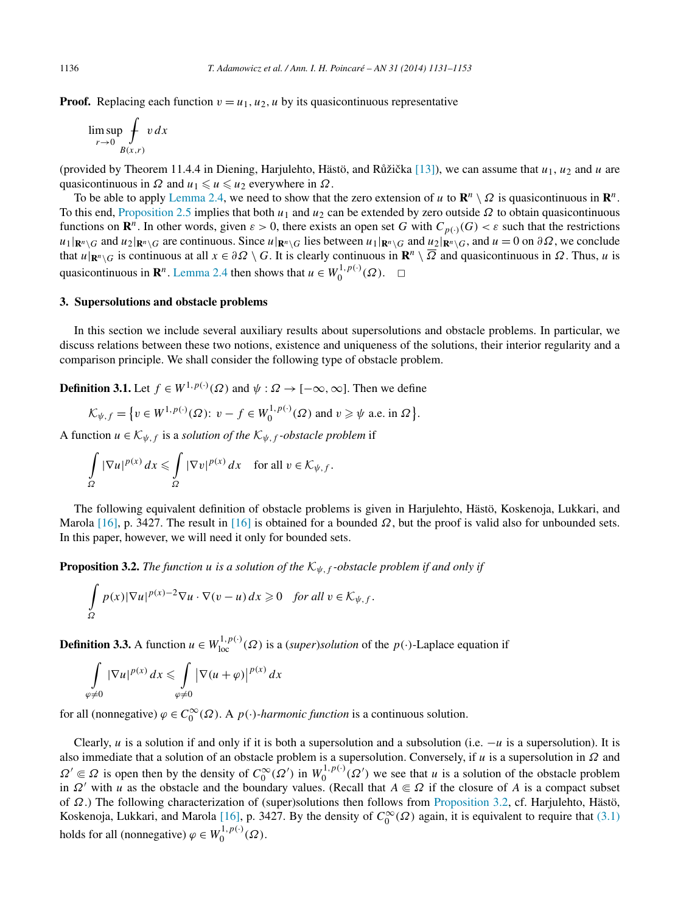<span id="page-5-0"></span>**Proof.** Replacing each function  $v = u_1, u_2, u$  by its quasicontinuous representative

$$
\limsup_{r \to 0} \oint_{B(x,r)} v \, dx
$$

(provided by Theorem 11.4.4 in Diening, Harjulehto, Hästö, and Růžička [\[13\]\)](#page-22-0), we can assume that  $u_1, u_2$  and  $u$  are quasicontinuous in  $\Omega$  and  $u_1 \leq u \leq u_2$  everywhere in  $\Omega$ .

To be able to apply [Lemma 2.4,](#page-4-0) we need to show that the zero extension of *u* to  $\mathbb{R}^n \setminus \Omega$  is quasicontinuous in  $\mathbb{R}^n$ . To this end, [Proposition 2.5](#page-4-0) implies that both  $u_1$  and  $u_2$  can be extended by zero outside  $\Omega$  to obtain quasicontinuous functions on  $\mathbb{R}^n$ . In other words, given  $\varepsilon > 0$ , there exists an open set *G* with  $C_{p(\cdot)}(G) < \varepsilon$  such that the restrictions  $u_1|\mathbf{R}^n\setminus G$  and  $u_2|\mathbf{R}^n\setminus G$  are continuous. Since  $u|\mathbf{R}^n\setminus G$  lies between  $u_1|\mathbf{R}^n\setminus G$  and  $u_2|\mathbf{R}^n\setminus G$ , and  $u=0$  on  $\partial\Omega$ , we conclude that  $u|_{\mathbf{R}^n\setminus G}$  is continuous at all  $x \in \partial \Omega \setminus G$ . It is clearly continuous in  $\mathbf{R}^n \setminus \overline{\Omega}$  and quasicontinuous in  $\Omega$ . Thus, *u* is quasicontinuous in  $\mathbb{R}^n$ . [Lemma 2.4](#page-4-0) then shows that  $u \in W_0^{1,p(\cdot)}(\Omega)$ .  $\Box$ 

## **3. Supersolutions and obstacle problems**

In this section we include several auxiliary results about supersolutions and obstacle problems. In particular, we discuss relations between these two notions, existence and uniqueness of the solutions, their interior regularity and a comparison principle. We shall consider the following type of obstacle problem.

**Definition 3.1.** Let  $f \in W^{1,p(\cdot)}(\Omega)$  and  $\psi : \Omega \to [-\infty, \infty]$ . Then we define

$$
\mathcal{K}_{\psi,f} = \{ v \in W^{1,p(\cdot)}(\Omega) \colon v - f \in W_0^{1,p(\cdot)}(\Omega) \text{ and } v \geq \psi \text{ a.e. in } \Omega \}.
$$

A function  $u \in \mathcal{K}_{\psi, f}$  is a *solution of the*  $\mathcal{K}_{\psi, f}$ *-obstacle problem* if

$$
\int_{\Omega} |\nabla u|^{p(x)} dx \leq \int_{\Omega} |\nabla v|^{p(x)} dx \quad \text{for all } v \in \mathcal{K}_{\psi, f}.
$$

The following equivalent definition of obstacle problems is given in Harjulehto, Hästö, Koskenoja, Lukkari, and Marola [\[16\],](#page-22-0) p. 3427. The result in [\[16\]](#page-22-0) is obtained for a bounded  $\Omega$ , but the proof is valid also for unbounded sets. In this paper, however, we will need it only for bounded sets.

**Proposition 3.2.** *The function u is a solution of the*  $K_{\psi, f}$ -obstacle problem if and only if

$$
\int_{\Omega} p(x)|\nabla u|^{p(x)-2}\nabla u \cdot \nabla (v-u)\,dx \geq 0 \quad \text{for all } v \in \mathcal{K}_{\psi,f}.
$$

**Definition 3.3.** A function  $u \in W^{1,p(\cdot)}_{loc}(\Omega)$  is a (*super*)*solution* of the  $p(\cdot)$ -Laplace equation if

$$
\int\limits_{\varphi \neq 0} |\nabla u|^{p(x)} dx \leq \int\limits_{\varphi \neq 0} |\nabla (u + \varphi)|^{p(x)} dx
$$

for all (nonnegative)  $\varphi \in C_0^{\infty}(\Omega)$ . A  $p(\cdot)$ *-harmonic function* is a continuous solution.

Clearly, *u* is a solution if and only if it is both a supersolution and a subsolution (i.e. −*u* is a supersolution). It is also immediate that a solution of an obstacle problem is a supersolution. Conversely, if *u* is a supersolution in *Ω* and  $\Omega' \subseteq \Omega$  is open then by the density of  $C_0^{\infty}(\Omega')$  in  $W_0^{1,p(\cdot)}(\Omega')$  we see that *u* is a solution of the obstacle problem in  $\Omega'$  with *u* as the obstacle and the boundary values. (Recall that  $A \in \Omega$  if the closure of *A* is a compact subset of *Ω*.) The following characterization of (super)solutions then follows from Proposition 3.2, cf. Harjulehto, Hästö, Koskenoja, Lukkari, and Marola [\[16\],](#page-22-0) p. 3427. By the density of  $C_0^{\infty}(\Omega)$  again, it is equivalent to require that [\(3.1\)](#page-6-0) holds for all (nonnegative)  $\varphi \in W_0^{1, p(\cdot)}(\Omega)$ .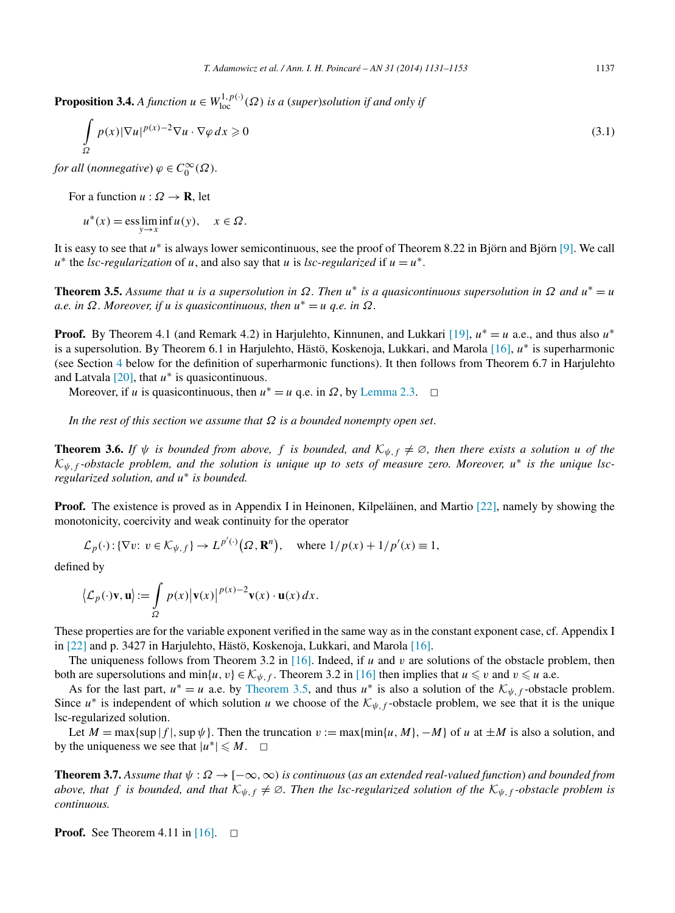<span id="page-6-0"></span>**Proposition 3.4.** *A function*  $u \in W^{1,p(\cdot)}_{loc}(\Omega)$  *is a (super)solution if and only if* 

$$
\int_{\Omega} p(x)|\nabla u|^{p(x)-2}\nabla u \cdot \nabla \varphi \,dx \geqslant 0\tag{3.1}
$$

*for all (nonnegative)*  $\varphi \in C_0^{\infty}(\Omega)$ *.* 

For a function  $u : \Omega \to \mathbf{R}$ , let

 $u^*(x) = \operatorname{ess} \lim_{y \to x} \inf u(y), \quad x \in \Omega.$ 

It is easy to see that *u*<sup>∗</sup> is always lower semicontinuous, see the proof of Theorem 8.22 in Björn and Björn [\[9\].](#page-21-0) We call  $u^*$  the *lsc-regularization* of *u*, and also say that *u* is *lsc-regularized* if  $u = u^*$ .

**Theorem 3.5.** *Assume that u is a supersolution in*  $\Omega$ . Then  $u^*$  *is a quasicontinuous supersolution in*  $\Omega$  *and*  $u^* = u$ *a.e. in Ω. Moreover, if u is quasicontinuous, then u*<sup>∗</sup> = *u q.e. in Ω.*

**Proof.** By Theorem 4.1 (and Remark 4.2) in Harjulehto, Kinnunen, and Lukkari [\[19\],](#page-22-0)  $u^* = u$  a.e., and thus also  $u^*$ is a supersolution. By Theorem 6.1 in Harjulehto, Hästö, Koskenoja, Lukkari, and Marola [\[16\],](#page-22-0) *u*<sup>∗</sup> is superharmonic (see Section [4](#page-8-0) below for the definition of superharmonic functions). It then follows from Theorem 6.7 in Harjulehto and Latvala [\[20\],](#page-22-0) that *u*<sup>∗</sup> is quasicontinuous.

Moreover, if *u* is quasicontinuous, then  $u^* = u$  q.e. in  $\Omega$ , by [Lemma 2.3.](#page-4-0)  $\Box$ 

*In the rest of this section we assume that Ω is a bounded nonempty open set*.

**Theorem 3.6.** *If*  $\psi$  *is bounded from above, f is bounded, and*  $K_{\psi, f} \neq \emptyset$ *, then there exists a solution u of the* <sup>K</sup>*ψ,f -obstacle problem, and the solution is unique up to sets of measure zero. Moreover, <sup>u</sup>*<sup>∗</sup> *is the unique lscregularized solution, and u*<sup>∗</sup> *is bounded.*

**Proof.** The existence is proved as in Appendix I in Heinonen, Kilpeläinen, and Martio [\[22\],](#page-22-0) namely by showing the monotonicity, coercivity and weak continuity for the operator

$$
\mathcal{L}_p(\cdot) : \{ \nabla v : v \in \mathcal{K}_{\psi, f} \} \to L^{p'(\cdot)}(\Omega, \mathbf{R}^n), \quad \text{where } 1/p(x) + 1/p'(x) \equiv 1,
$$

defined by

$$
\langle \mathcal{L}_p(\cdot) \mathbf{v}, \mathbf{u} \rangle := \int_{\Omega} p(x) |\mathbf{v}(x)|^{p(x)-2} \mathbf{v}(x) \cdot \mathbf{u}(x) dx.
$$

These properties are for the variable exponent verified in the same way as in the constant exponent case, cf. Appendix I in [\[22\]](#page-22-0) and p. 3427 in Harjulehto, Hästö, Koskenoja, Lukkari, and Marola [\[16\].](#page-22-0)

The uniqueness follows from Theorem 3.2 in [\[16\].](#page-22-0) Indeed, if *u* and *v* are solutions of the obstacle problem, then both are supersolutions and min{*u*, *v*}  $\in$   $\mathcal{K}_{\psi, f}$ . Theorem 3.2 in [\[16\]](#page-22-0) then implies that  $u \le v$  and  $v \le u$  a.e.

As for the last part,  $u^* = u$  a.e. by Theorem 3.5, and thus  $u^*$  is also a solution of the  $\mathcal{K}_{\psi, f}$ -obstacle problem. Since  $u^*$  is independent of which solution *u* we choose of the  $\mathcal{K}_{\psi,f}$ -obstacle problem, we see that it is the unique lsc-regularized solution.

Let  $M = \max\{\sup|f|, \sup \psi\}$ . Then the truncation  $v := \max\{\min\{u, M\}, -M\}$  of  $u$  at  $\pm M$  is also a solution, and by the uniqueness we see that  $|u^*| \le M$ .  $\Box$ 

**Theorem 3.7.** *Assume that ψ* : *Ω* → [−∞*,*∞*) is continuous* (*as an extended real-valued function*) *and bounded from above, that f is bounded, and that*  $K_{\psi, f} \neq \emptyset$ . Then the lsc-regularized solution of the  $K_{\psi, f}$ -obstacle problem is *continuous.*

**Proof.** See Theorem 4.11 in  $[16]$ .  $\Box$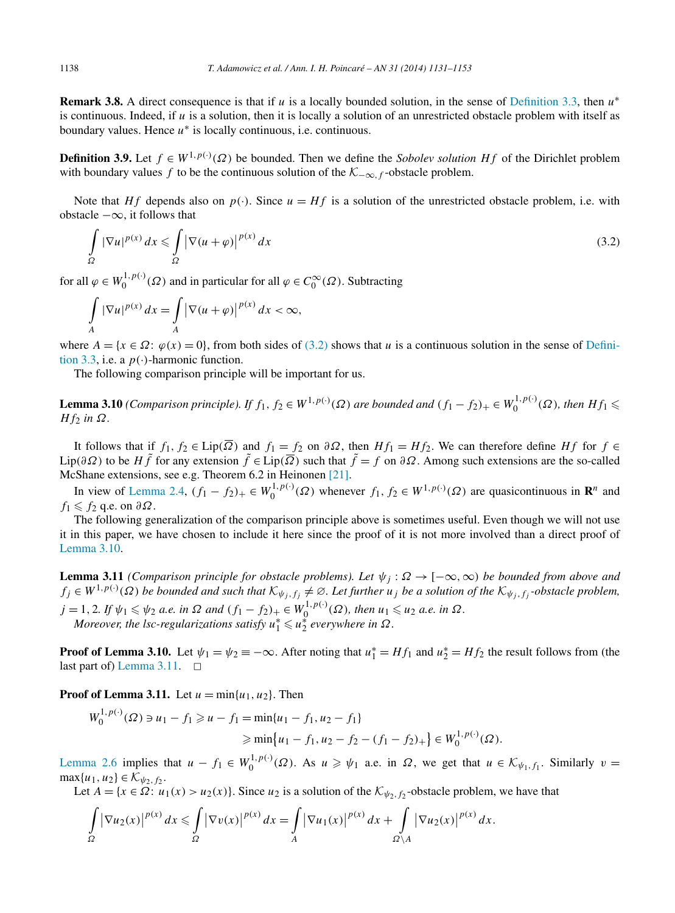<span id="page-7-0"></span>**Remark 3.8.** A direct consequence is that if *u* is a locally bounded solution, in the sense of [Definition 3.3,](#page-5-0) then *u*<sup>∗</sup> is continuous. Indeed, if *u* is a solution, then it is locally a solution of an unrestricted obstacle problem with itself as boundary values. Hence *u*<sup>∗</sup> is locally continuous, i.e. continuous.

**Definition 3.9.** Let  $f \in W^{1,p(\cdot)}(\Omega)$  be bounded. Then we define the *Sobolev solution* Hf of the Dirichlet problem with boundary values *f* to be the continuous solution of the  $\mathcal{K}_{-\infty,f}$ -obstacle problem.

Note that *Hf* depends also on  $p(\cdot)$ . Since  $u = Hf$  is a solution of the unrestricted obstacle problem, i.e. with obstacle  $-\infty$ , it follows that

$$
\int_{\Omega} |\nabla u|^{p(x)} dx \leq \int_{\Omega} |\nabla (u+\varphi)|^{p(x)} dx \tag{3.2}
$$

for all  $\varphi \in W_0^{1,p(\cdot)}(\Omega)$  and in particular for all  $\varphi \in C_0^{\infty}(\Omega)$ . Subtracting

$$
\int_{A} |\nabla u|^{p(x)} dx = \int_{A} |\nabla (u + \varphi)|^{p(x)} dx < \infty,
$$

where  $A = \{x \in \Omega : \varphi(x) = 0\}$ , from both sides of (3.2) shows that *u* is a continuous solution in the sense of [Defini](#page-5-0)[tion 3.3,](#page-5-0) i.e. a  $p(\cdot)$ -harmonic function.

The following comparison principle will be important for us.

**Lemma 3.10** (Comparison principle). If  $f_1, f_2 \in W^{1,p(\cdot)}(\Omega)$  are bounded and  $(f_1 - f_2)_+ \in W_0^{1,p(\cdot)}(\Omega)$ , then  $Hf_1 \leq$ *H*  $f$ <sub>2</sub> *in*  $Ω$ *.* 

It follows that if  $f_1, f_2 \in \text{Lip}(\overline{\Omega})$  and  $f_1 = f_2$  on  $\partial \Omega$ , then  $Hf_1 = Hf_2$ . We can therefore define  $Hf$  for  $f \in$ Lip( $\partial\Omega$ ) to be *Hf* for any extension  $\tilde{f} \in \text{Lip}(\overline{\Omega})$  such that  $\tilde{f} = f$  on  $\partial\Omega$ . Among such extensions are the so-called McShane extensions, see e.g. Theorem 6.2 in Heinonen [\[21\].](#page-22-0)

In view of [Lemma 2.4,](#page-4-0)  $(f_1 - f_2)_+ \in W_0^{1, p(\cdot)}(\Omega)$  whenever  $f_1, f_2 \in W^{1, p(\cdot)}(\Omega)$  are quasicontinuous in  $\mathbb{R}^n$  and  $f_1 \leqslant f_2$  q.e. on  $\partial \Omega$ .

The following generalization of the comparison principle above is sometimes useful. Even though we will not use it in this paper, we have chosen to include it here since the proof of it is not more involved than a direct proof of Lemma 3.10.

**Lemma 3.11** *(Comparison principle for obstacle problems). Let*  $\psi_j : \Omega \to [-\infty, \infty)$  *be bounded from above and*  $f_j \in W^{1,p(\cdot)}(\Omega)$  *be bounded and such that*  $K_{\psi_j,f_j} \neq \emptyset$ . Let further  $u_j$  *be a solution of the*  $K_{\psi_j,f_j}$ -*obstacle problem,*  $j = 1, 2$ . If  $\psi_1 \leq \psi_2$  a.e. in  $\Omega$  and  $(f_1 - f_2)_+ \in W_0^{1, p(\cdot)}(\Omega)$ , then  $u_1 \leq u_2$  a.e. in  $\Omega$ . *Moreover, the lsc-regularizations satisfy*  $u_1^* \leq u_2^*$  everywhere in  $\Omega$ .

**Proof of Lemma 3.10.** Let  $\psi_1 = \psi_2 = -\infty$ . After noting that  $u_1^* = Hf_1$  and  $u_2^* = Hf_2$  the result follows from (the last part of) Lemma 3.11.  $\Box$ 

**Proof of Lemma 3.11.** Let  $u = min\{u_1, u_2\}$ . Then

$$
W_0^{1,p(\cdot)}(\Omega) \ni u_1 - f_1 \ge u - f_1 = \min\{u_1 - f_1, u_2 - f_1\}
$$
  
 
$$
\ge \min\{u_1 - f_1, u_2 - f_2 - (f_1 - f_2)_+\} \in W_0^{1,p(\cdot)}(\Omega).
$$

[Lemma 2.6](#page-4-0) implies that  $u - f_1 \in W_0^{1, p(\cdot)}(\Omega)$ . As  $u \geq \psi_1$  a.e. in  $\Omega$ , we get that  $u \in \mathcal{K}_{\psi_1, f_1}$ . Similarly  $v =$  $max\{u_1, u_2\} \in \mathcal{K}_{\psi_2, f_2}.$ 

Let  $A = \{x \in \Omega : u_1(x) > u_2(x)\}\)$ . Since  $u_2$  is a solution of the  $\mathcal{K}_{\psi_2, f_2}$ -obstacle problem, we have that

$$
\int_{\Omega} |\nabla u_2(x)|^{p(x)} dx \leq \int_{\Omega} |\nabla v(x)|^{p(x)} dx = \int_{A} |\nabla u_1(x)|^{p(x)} dx + \int_{\Omega \setminus A} |\nabla u_2(x)|^{p(x)} dx.
$$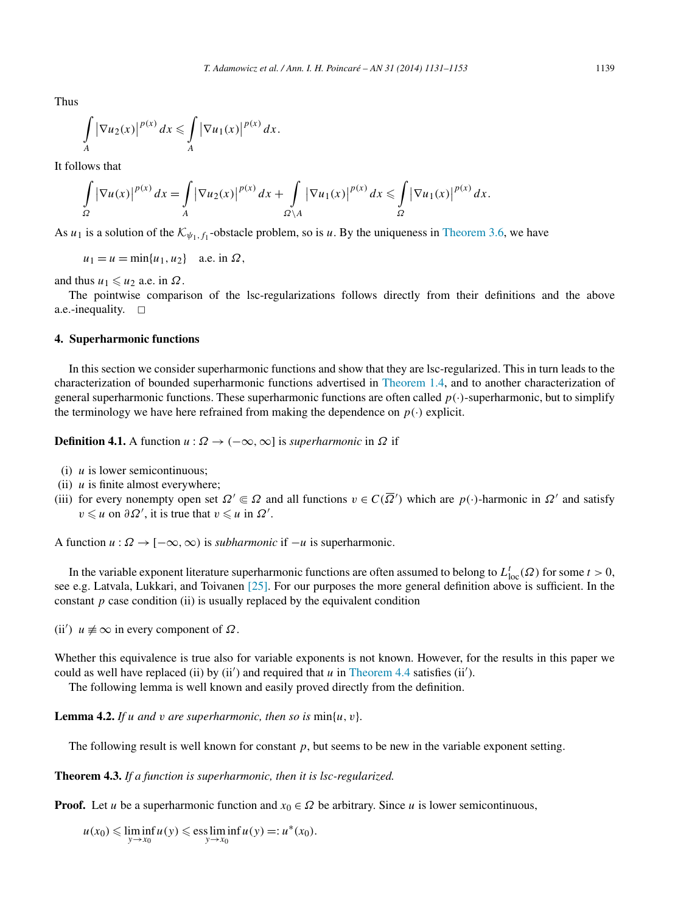<span id="page-8-0"></span>Thus

$$
\int\limits_A |\nabla u_2(x)|^{p(x)} dx \leqslant \int\limits_A |\nabla u_1(x)|^{p(x)} dx.
$$

It follows that

$$
\int_{\Omega} \left|\nabla u(x)\right|^{p(x)} dx = \int_{A} \left|\nabla u_2(x)\right|^{p(x)} dx + \int_{\Omega \setminus A} \left|\nabla u_1(x)\right|^{p(x)} dx \leq \int_{\Omega} \left|\nabla u_1(x)\right|^{p(x)} dx.
$$

As  $u_1$  is a solution of the  $K_{\psi_1, f_1}$ -obstacle problem, so is *u*. By the uniqueness in [Theorem 3.6,](#page-6-0) we have

 $u_1 = u = \min\{u_1, u_2\}$  a.e. in  $\Omega$ ,

and thus  $u_1 \leq u_2$  a.e. in  $\Omega$ .

The pointwise comparison of the lsc-regularizations follows directly from their definitions and the above a.e.-inequality.  $\square$ 

#### **4. Superharmonic functions**

In this section we consider superharmonic functions and show that they are lsc-regularized. This in turn leads to the characterization of bounded superharmonic functions advertised in [Theorem 1.4,](#page-2-0) and to another characterization of general superharmonic functions. These superharmonic functions are often called  $p(\cdot)$ -superharmonic, but to simplify the terminology we have here refrained from making the dependence on  $p(\cdot)$  explicit.

**Definition 4.1.** A function  $u : \Omega \to (-\infty, \infty]$  is *superharmonic* in  $\Omega$  if

- (i) *u* is lower semicontinuous;
- (ii) *u* is finite almost everywhere;
- (iii) for every nonempty open set  $\Omega' \in \Omega$  and all functions  $v \in C(\overline{\Omega}')$  which are  $p(\cdot)$ -harmonic in  $\Omega'$  and satisfy  $v \leq u$  on  $\partial \Omega'$ , it is true that  $v \leq u$  in  $\Omega'$ .

A function  $u : \Omega \to [-\infty, \infty)$  is *subharmonic* if  $-u$  is superharmonic.

In the variable exponent literature superharmonic functions are often assumed to belong to  $L_{loc}^t(\Omega)$  for some  $t > 0$ , see e.g. Latvala, Lukkari, and Toivanen [\[25\].](#page-22-0) For our purposes the more general definition above is sufficient. In the constant  $p$  case condition (ii) is usually replaced by the equivalent condition

 $(ii')$  *u*  $\neq$  ∞ in every component of *Ω*.

Whether this equivalence is true also for variable exponents is not known. However, for the results in this paper we could as well have replaced (ii) by  $(ii')$  and required that  $u$  in [Theorem 4.4](#page-9-0) satisfies  $(ii')$ .

The following lemma is well known and easily proved directly from the definition.

**Lemma 4.2.** *If u and v are superharmonic, then so is*  $\min\{u, v\}$ *.* 

The following result is well known for constant *p*, but seems to be new in the variable exponent setting.

**Theorem 4.3.** *If a function is superharmonic, then it is lsc-regularized.*

**Proof.** Let *u* be a superharmonic function and  $x_0 \in \Omega$  be arbitrary. Since *u* is lower semicontinuous,

 $u(x_0) \le \liminf_{y \to x_0} u(y) \le \text{ess}\liminf_{y \to x_0} u(y) =: u^*(x_0).$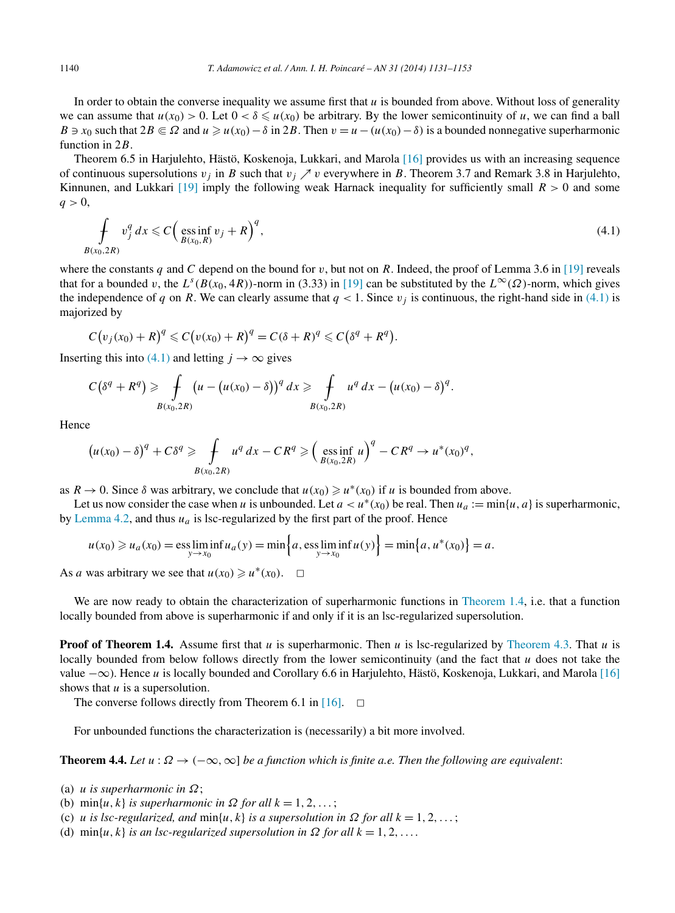<span id="page-9-0"></span>In order to obtain the converse inequality we assume first that  $u$  is bounded from above. Without loss of generality we can assume that  $u(x_0) > 0$ . Let  $0 < \delta \leq u(x_0)$  be arbitrary. By the lower semicontinuity of *u*, we can find a ball *B*  $\Rightarrow$  *x*<sub>0</sub> such that 2*B* ∈ *Ω* and *u*  $\ge$  *u*(*x*<sub>0</sub>) − *δ* in 2*B*. Then *v* = *u* − (*u*(*x*<sub>0</sub>) − *δ*) is a bounded nonnegative superharmonic function in 2*B*.

Theorem 6.5 in Harjulehto, Hästö, Koskenoja, Lukkari, and Marola [\[16\]](#page-22-0) provides us with an increasing sequence of continuous supersolutions  $v_j$  in *B* such that  $v_j \nearrow v$  everywhere in *B*. Theorem 3.7 and Remark 3.8 in Harjulehto, Kinnunen, and Lukkari [\[19\]](#page-22-0) imply the following weak Harnack inequality for sufficiently small *R >* 0 and some  $q > 0$ ,

$$
\oint_{B(x_0, 2R)} v_j^q dx \leqslant C \Big( \underset{B(x_0, R)}{\text{ess inf}} v_j + R \Big)^q, \tag{4.1}
$$

where the constants *q* and *C* depend on the bound for *v*, but not on *R*. Indeed, the proof of Lemma 3.6 in [\[19\]](#page-22-0) reveals that for a bounded *v*, the  $L^s(B(x_0, 4R))$ -norm in (3.33) in [\[19\]](#page-22-0) can be substituted by the  $L^\infty(\Omega)$ -norm, which gives the independence of *q* on *R*. We can clearly assume that  $q < 1$ . Since  $v_j$  is continuous, the right-hand side in (4.1) is majorized by

$$
C(v_j(x_0)+R)^q\leqslant C(v(x_0)+R)^q=C(\delta+R)^q\leqslant C(\delta^q+R^q).
$$

Inserting this into (4.1) and letting  $j \to \infty$  gives

$$
C(\delta^q + R^q) \geq \int\limits_{B(x_0, 2R)} (u - (u(x_0) - \delta))^q dx \geq \int\limits_{B(x_0, 2R)} u^q dx - (u(x_0) - \delta)^q.
$$

Hence

$$
\left(u(x_0)-\delta\right)^q + C\delta^q \geq \int\limits_{B(x_0,2R)} u^q\,dx - C R^q \geq \left(\underset{B(x_0,2R)}{\text{ess inf }}u\right)^q - C R^q \to u^*(x_0)^q,
$$

as  $R \to 0$ . Since  $\delta$  was arbitrary, we conclude that  $u(x_0) \geq u^*(x_0)$  if *u* is bounded from above.

Let us now consider the case when *u* is unbounded. Let  $a < u^*(x_0)$  be real. Then  $u_a := \min\{u, a\}$  is superharmonic, by [Lemma 4.2,](#page-8-0) and thus  $u_a$  is lsc-regularized by the first part of the proof. Hence

$$
u(x_0) \ge u_a(x_0) = \underset{y \to x_0}{\text{ess lim}} \inf u_a(y) = \min \Big\{ a, \underset{y \to x_0}{\text{ess lim}} \inf u(y) \Big\} = \min \big\{ a, u^*(x_0) \big\} = a.
$$

As *a* was arbitrary we see that  $u(x_0) \ge u^*(x_0)$ .  $\Box$ 

We are now ready to obtain the characterization of superharmonic functions in [Theorem](#page-2-0) 1.4, i.e. that a function locally bounded from above is superharmonic if and only if it is an lsc-regularized supersolution.

**Proof of Theorem 1.4.** Assume first that *u* is superharmonic. Then *u* is lsc-regularized by [Theorem 4.3.](#page-8-0) That *u* is locally bounded from below follows directly from the lower semicontinuity (and the fact that *u* does not take the value −∞). Hence *u* is locally bounded and Corollary 6.6 in Harjulehto, Hästö, Koskenoja, Lukkari, and Marola [\[16\]](#page-22-0) shows that *u* is a supersolution.

The converse follows directly from Theorem 6.1 in [\[16\].](#page-22-0)  $\Box$ 

For unbounded functions the characterization is (necessarily) a bit more involved.

**Theorem 4.4.** *Let*  $u : \Omega \to (-\infty, \infty]$  *be a function which is finite a.e. Then the following are equivalent:* 

- (a) *u is superharmonic in Ω*;
- (b)  $\min\{u, k\}$  *is superharmonic in*  $\Omega$  *for all*  $k = 1, 2, \ldots$ ;
- (c) *u is lsc-regularized, and*  $min\{u, k\}$  *is a supersolution in*  $\Omega$  *for all*  $k = 1, 2, \ldots$ ;
- (d) min{ $u, k$ } *is an lsc-regularized supersolution in*  $\Omega$  *for all*  $k = 1, 2, \ldots$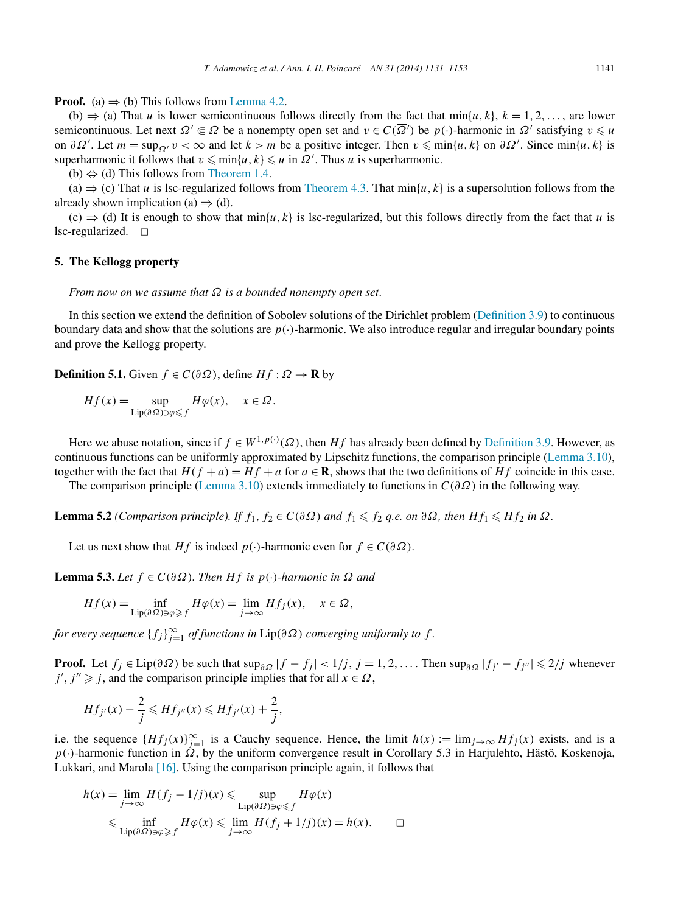<span id="page-10-0"></span>**Proof.** (a)  $\Rightarrow$  (b) This follows from [Lemma 4.2.](#page-8-0)

(b)  $\Rightarrow$  (a) That *u* is lower semicontinuous follows directly from the fact that min{*u, k*}, *k* = 1*,* 2*,...*, are lower semicontinuous. Let next  $\Omega' \subseteq \Omega$  be a nonempty open set and  $v \in C(\overline{\Omega}')$  be  $p(\cdot)$ -harmonic in  $\Omega'$  satisfying  $v \leq u$ on  $\partial\Omega'$ . Let  $m = \sup_{\overline{\Omega'}} v < \infty$  and let  $k > m$  be a positive integer. Then  $v \leq \min\{u, k\}$  on  $\partial\Omega'$ . Since  $\min\{u, k\}$  is superharmonic it follows that  $v \leq \min\{u, k\} \leq u$  in  $\Omega'$ . Thus *u* is superharmonic.

(b)  $\Leftrightarrow$  (d) This follows from [Theorem 1.4.](#page-2-0)

 $(a) \Rightarrow (c)$  That *u* is lsc-regularized follows from [Theorem 4.3.](#page-8-0) That min{*u*, k} is a supersolution follows from the already shown implication (a)  $\Rightarrow$  (d).

 $(c) \Rightarrow$  (d) It is enough to show that min{*u, k*} is lsc-regularized, but this follows directly from the fact that *u* is lsc-regularized.  $\Box$ 

## **5. The Kellogg property**

*From now on we assume that Ω is a bounded nonempty open set*.

In this section we extend the definition of Sobolev solutions of the Dirichlet problem [\(Definition](#page-7-0) 3.9) to continuous boundary data and show that the solutions are  $p(\cdot)$ -harmonic. We also introduce regular and irregular boundary points and prove the Kellogg property.

**Definition 5.1.** Given  $f \in C(\partial \Omega)$ , define  $Hf : \Omega \to \mathbf{R}$  by

$$
Hf(x) = \sup_{\text{Lip}(\partial \Omega) \ni \varphi \leq f} H\varphi(x), \quad x \in \Omega.
$$

Here we abuse notation, since if  $f \in W^{1,p(\cdot)}(\Omega)$ , then  $Hf$  has already been defined by [Definition 3.9.](#page-7-0) However, as continuous functions can be uniformly approximated by Lipschitz functions, the comparison principle [\(Lemma 3.10\)](#page-7-0), together with the fact that  $H(f + a) = Hf + a$  for  $a \in \mathbb{R}$ , shows that the two definitions of  $Hf$  coincide in this case.

The comparison principle [\(Lemma](#page-7-0) 3.10) extends immediately to functions in *C(∂Ω)* in the following way.

**Lemma 5.2** *(Comparison principle). If*  $f_1, f_2 \in C(\partial \Omega)$  *and*  $f_1 \leq f_2$  *q.e. on*  $\partial \Omega$ *, then*  $Hf_1 \leq Hf_2$  *in*  $\Omega$ *.* 

Let us next show that *Hf* is indeed  $p(\cdot)$ -harmonic even for  $f \in C(\partial \Omega)$ .

**Lemma 5.3.** *Let f* ∈ *C(∂Ω). Then Hf is p(*·*)-harmonic in Ω and*

$$
Hf(x) = \inf_{\text{Lip}(\partial\Omega) \ni \varphi \ge f} H\varphi(x) = \lim_{j \to \infty} Hf_j(x), \quad x \in \Omega,
$$

*for every sequence*  ${f_j}_{j=1}^{\infty}$  *of functions in* Lip( $\partial\Omega$ ) *converging uniformly to*  $f$ .

**Proof.** Let *f<sub>j</sub>* ∈ Lip( $\partial \Omega$ ) be such that sup<sub> $\partial \Omega$ </sub> |*f* − *f<sub>j</sub>*| < 1/*j*, *j* = 1, 2, .... Then sup<sub> $\partial \Omega$ </sub> |*f<sub>j'</sub>* − *f<sub>j''</sub>*| ≤ 2/*j* whenever  $j', j'' \geq j$ , and the comparison principle implies that for all  $x \in \Omega$ ,

$$
Hf_{j'}(x) - \frac{2}{j} \le Hf_{j''}(x) \le Hf_{j'}(x) + \frac{2}{j},
$$

i.e. the sequence  ${Hf_j(x)}_{j=1}^{\infty}$  is a Cauchy sequence. Hence, the limit  $h(x) := \lim_{j\to\infty} Hf_j(x)$  exists, and is a *p*(·)-harmonic function in *Ω*, by the uniform convergence result in Corollary 5.3 in Harjulehto, Hästö, Koskenoja, Lukkari, and Marola [\[16\].](#page-22-0) Using the comparison principle again, it follows that

$$
h(x) = \lim_{j \to \infty} H(f_j - 1/j)(x) \leq \sup_{\text{Lip}(\partial \Omega) \ni \varphi \leq f} H\varphi(x)
$$
  

$$
\leq \inf_{\text{Lip}(\partial \Omega) \ni \varphi \geq f} H\varphi(x) \leq \lim_{j \to \infty} H(f_j + 1/j)(x) = h(x). \qquad \Box
$$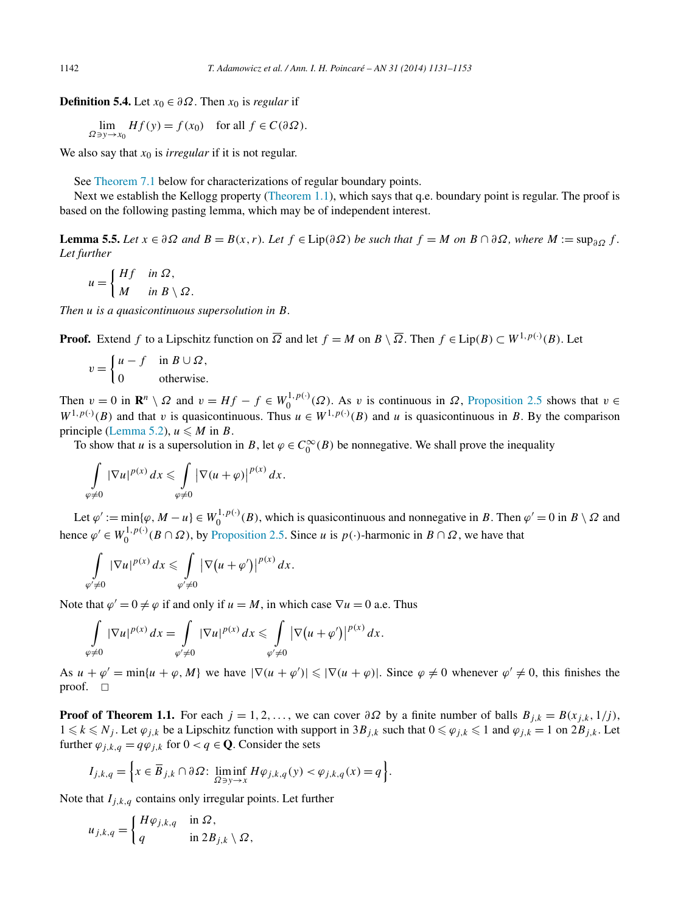<span id="page-11-0"></span>**Definition 5.4.** Let  $x_0 \in \partial \Omega$ . Then  $x_0$  is *regular* if

$$
\lim_{\Omega \ni y \to x_0} Hf(y) = f(x_0) \quad \text{for all } f \in C(\partial \Omega).
$$

We also say that  $x_0$  is *irregular* if it is not regular.

See [Theorem](#page-16-0) 7.1 below for characterizations of regular boundary points.

Next we establish the Kellogg property [\(Theorem](#page-1-0) 1.1), which says that q.e. boundary point is regular. The proof is based on the following pasting lemma, which may be of independent interest.

**Lemma 5.5.** Let  $x \in \partial \Omega$  and  $B = B(x, r)$ . Let  $f \in Lip(\partial \Omega)$  be such that  $f = M$  on  $B \cap \partial \Omega$ , where  $M := \sup_{\partial \Omega} f$ . *Let further*

$$
u = \begin{cases} Hf & \text{in } \Omega, \\ M & \text{in } B \setminus \Omega. \end{cases}
$$

*Then u is a quasicontinuous supersolution in B.*

**Proof.** Extend *f* to a Lipschitz function on  $\overline{\Omega}$  and let  $f = M$  on  $B \setminus \overline{\Omega}$ . Then  $f \in Lip(B) \subset W^{1,p(\cdot)}(B)$ . Let

$$
v = \begin{cases} u - f & \text{in } B \cup \Omega, \\ 0 & \text{otherwise.} \end{cases}
$$

Then  $v = 0$  in  $\mathbb{R}^n \setminus \Omega$  and  $v = Hf - f \in W_0^{1, p(\cdot)}(\Omega)$ . As *v* is continuous in  $\Omega$ , [Proposition 2.5](#page-4-0) shows that  $v \in \Omega$  $W^{1,p(\cdot)}(B)$  and that *v* is quasicontinuous. Thus  $u \in W^{1,p(\cdot)}(B)$  and *u* is quasicontinuous in *B*. By the comparison principle [\(Lemma 5.2\)](#page-10-0),  $u \le M$  in *B*.

To show that *u* is a supersolution in *B*, let  $\varphi \in C_0^{\infty}(B)$  be nonnegative. We shall prove the inequality

$$
\int\limits_{\varphi\neq 0}|\nabla u|^{p(x)}\,dx\leqslant \int\limits_{\varphi\neq 0}|\nabla (u+\varphi)|^{p(x)}\,dx.
$$

Let  $\varphi' := \min{\{\varphi, M - u\}} \in W_0^{1, p(\cdot)}(B)$ , which is quasicontinuous and nonnegative in *B*. Then  $\varphi' = 0$  in  $B \setminus \Omega$  and hence  $\varphi' \in W_0^{1, p(\cdot)}(B \cap \Omega)$ , by [Proposition 2.5.](#page-4-0) Since *u* is  $p(\cdot)$ -harmonic in  $B \cap \Omega$ , we have that

$$
\int\limits_{\varphi'\neq 0}|\nabla u|^{p(x)}\,dx\leqslant \int\limits_{\varphi'\neq 0}|\nabla (u+\varphi')|^{p(x)}\,dx.
$$

Note that  $\varphi' = 0 \neq \varphi$  if and only if  $u = M$ , in which case  $\nabla u = 0$  a.e. Thus

$$
\int\limits_{\varphi\neq 0}|\nabla u|^{p(x)}\,dx=\int\limits_{\varphi'\neq 0}|\nabla u|^{p(x)}\,dx\leqslant \int\limits_{\varphi'\neq 0}|\nabla (u+\varphi')|^{p(x)}\,dx.
$$

As  $u + \varphi' = \min\{u + \varphi, M\}$  we have  $|\nabla(u + \varphi')| \leq |\nabla(u + \varphi)|$ . Since  $\varphi \neq 0$  whenever  $\varphi' \neq 0$ , this finishes the proof.  $\square$ 

**Proof of Theorem 1.1.** For each  $j = 1, 2, \ldots$ , we can cover  $\partial \Omega$  by a finite number of balls  $B_{j,k} = B(x_{j,k}, 1/j)$ ,  $1 \le k \le N_j$ . Let *ϕ<sub>j,k</sub>* be a Lipschitz function with support in 3*B<sub>j,k</sub>* such that  $0 \le \varphi_{j,k} \le 1$  and  $\varphi_{j,k} = 1$  on 2*B<sub>j,k</sub>*. Let further  $\varphi_{j,k,q} = q\varphi_{j,k}$  for  $0 < q \in \mathbf{Q}$ . Consider the sets

$$
I_{j,k,q} = \left\{ x \in \overline{B}_{j,k} \cap \partial \Omega : \liminf_{\Omega \ni y \to x} H \varphi_{j,k,q}(y) < \varphi_{j,k,q}(x) = q \right\}.
$$

Note that  $I_{j,k,q}$  contains only irregular points. Let further

$$
u_{j,k,q} = \begin{cases} H\varphi_{j,k,q} & \text{in } \Omega, \\ q & \text{in } 2B_{j,k} \setminus \Omega, \end{cases}
$$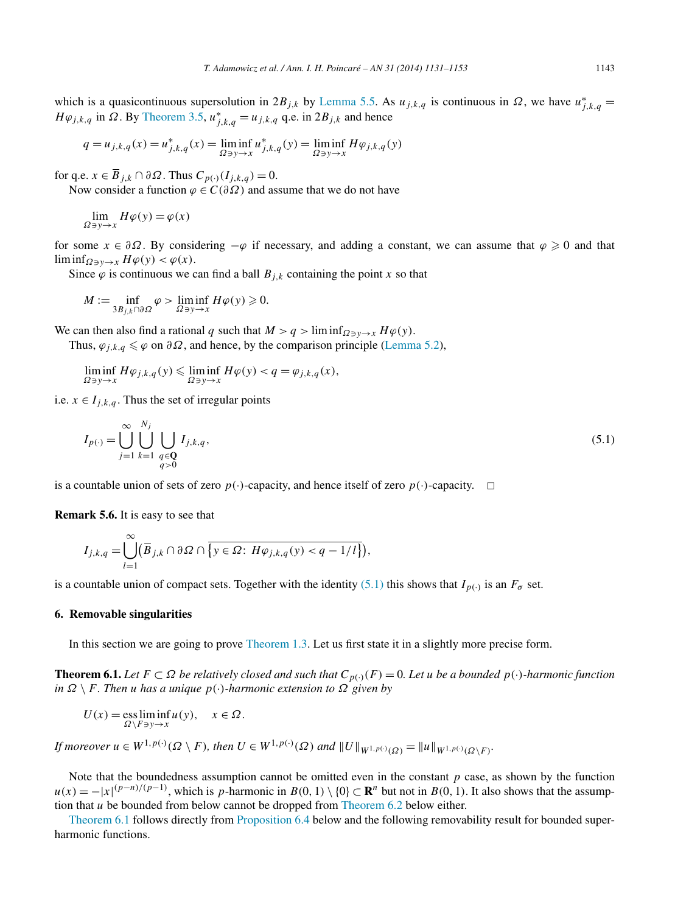<span id="page-12-0"></span>which is a quasicontinuous supersolution in  $2B_{j,k}$  by [Lemma 5.5.](#page-11-0) As  $u_{j,k,q}$  is continuous in  $\Omega$ , we have  $u_{j,k,q}^* =$ *H* $φ_{j,k,q}$  in  $Ω$ . By [Theorem 3.5,](#page-6-0)  $u_{j,k,q}^* = u_{j,k,q}$  q.e. in  $2B_{j,k}$  and hence

$$
q = u_{j,k,q}(x) = u_{j,k,q}^*(x) = \liminf_{\Omega \ni y \to x} u_{j,k,q}^*(y) = \liminf_{\Omega \ni y \to x} H\varphi_{j,k,q}(y)
$$

for q.e.  $x \in \overline{B}_{j,k} \cap \partial \Omega$ . Thus  $C_{p(\cdot)}(I_{j,k,q}) = 0$ .

Now consider a function  $\varphi \in C(\partial \Omega)$  and assume that we do not have

$$
\lim_{\Omega \ni y \to x} H\varphi(y) = \varphi(x)
$$

for some  $x \in \partial \Omega$ . By considering  $-\varphi$  if necessary, and adding a constant, we can assume that  $\varphi \ge 0$  and that lim inf<sub> $\Omega \ni y \to x$ </sub>  $H\varphi(y) < \varphi(x)$ .

Since  $\varphi$  is continuous we can find a ball  $B_{i,k}$  containing the point *x* so that

$$
M := \inf_{3B_{j,k} \cap \partial \Omega} \varphi > \liminf_{\Omega \ni y \to x} H\varphi(y) \geq 0.
$$

We can then also find a rational *q* such that  $M > q > \liminf_{\Omega \ni y \to x} H\varphi(y)$ .

Thus,  $\varphi_{j,k,q} \leq \varphi$  on  $\partial \Omega$ , and hence, by the comparison principle [\(Lemma 5.2\)](#page-10-0),

$$
\liminf_{\Omega\ni y\to x}H\varphi_{j,k,q}(y)\leqslant \liminf_{\Omega\ni y\to x}H\varphi(y)
$$

i.e.  $x \in I_{i,k,q}$ . Thus the set of irregular points

$$
I_{p(\cdot)} = \bigcup_{j=1}^{\infty} \bigcup_{k=1}^{N_j} \bigcup_{\substack{q \in \mathbf{Q} \\ q>0}} I_{j,k,q},\tag{5.1}
$$

is a countable union of sets of zero  $p(\cdot)$ -capacity, and hence itself of zero  $p(\cdot)$ -capacity.  $\Box$ 

**Remark 5.6.** It is easy to see that

$$
I_{j,k,q} = \bigcup_{l=1}^{\infty} (\overline{B}_{j,k} \cap \partial \Omega \cap \overline{\{y \in \Omega : H\varphi_{j,k,q}(y) < q-1/l\}}),
$$

is a countable union of compact sets. Together with the identity (5.1) this shows that  $I_{p(\cdot)}$  is an  $F_{\sigma}$  set.

# **6. Removable singularities**

In this section we are going to prove [Theorem 1.3.](#page-2-0) Let us first state it in a slightly more precise form.

**Theorem 6.1.** *Let F* ⊂ *Ω be relatively closed and such that*  $C_{p(·)}(F) = 0$ *. Let u be a bounded*  $p(·)$ *-harmonic function in Ω* \ *F. Then u has a unique p(*·*)-harmonic extension to Ω given by*

$$
U(x) = \underset{\Omega \setminus F \ni y \to x}{\text{ess lim inf}} u(y), \quad x \in \Omega.
$$

If moreover  $u \in W^{1,p(\cdot)}(\Omega \setminus F)$ , then  $U \in W^{1,p(\cdot)}(\Omega)$  and  $||U||_{W^{1,p(\cdot)}(\Omega)} = ||u||_{W^{1,p(\cdot)}(\Omega \setminus F)}$ .

Note that the boundedness assumption cannot be omitted even in the constant  $p$  case, as shown by the function  $u(x) = -|x|^{(p-n)/(p-1)}$ , which is *p*-harmonic in  $B(0, 1) \setminus \{0\} \subset \mathbb{R}^n$  but not in  $B(0, 1)$ . It also shows that the assumption that *u* be bounded from below cannot be dropped from [Theorem 6.2](#page-13-0) below either.

Theorem 6.1 follows directly from [Proposition 6.4](#page-15-0) below and the following removability result for bounded superharmonic functions.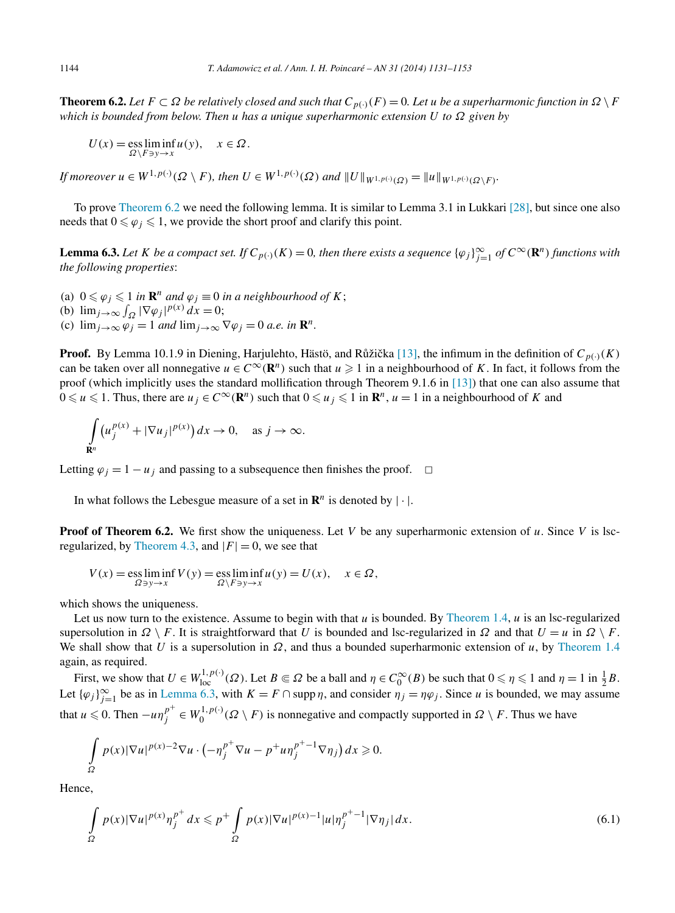<span id="page-13-0"></span>**Theorem 6.2.** Let  $F \subset \Omega$  be relatively closed and such that  $C_{p(\cdot)}(F) = 0$ . Let *u* be a superharmonic function in  $\Omega \setminus F$ *which is bounded from below. Then u has a unique superharmonic extension U to Ω given by*

$$
U(x) = \underset{\Omega \setminus F \ni y \to x}{\text{ess lim inf}} u(y), \quad x \in \Omega.
$$

If moreover  $u \in W^{1,p(\cdot)}(\Omega \setminus F)$ , then  $U \in W^{1,p(\cdot)}(\Omega)$  and  $||U||_{W^{1,p(\cdot)}(\Omega)} = ||u||_{W^{1,p(\cdot)}(\Omega \setminus F)}$ .

To prove Theorem 6.2 we need the following lemma. It is similar to Lemma 3.1 in Lukkari [\[28\],](#page-22-0) but since one also needs that  $0 \le \varphi_j \le 1$ , we provide the short proof and clarify this point.

**Lemma 6.3.** Let K be a compact set. If  $C_{p(\cdot)}(K) = 0$ , then there exists a sequence  $\{\varphi_j\}_{j=1}^{\infty}$  of  $C^{\infty}(\mathbf{R}^n)$  functions with *the following properties*:

(a)  $0 \le \varphi_j \le 1$  *in*  $\mathbb{R}^n$  *and*  $\varphi_j \equiv 0$  *in a neighbourhood of*  $K$ ; (b)  $\lim_{j \to \infty} \int_{\Omega} |\nabla \varphi_j|^{p(x)} dx = 0;$ (c)  $\lim_{i\to\infty} \varphi_i = 1$  *and*  $\lim_{i\to\infty} \nabla \varphi_i = 0$  *a.e.* in  $\mathbb{R}^n$ .

**Proof.** By Lemma 10.1.9 in Diening, Harjulehto, Hästö, and Růžička [\[13\],](#page-22-0) the infimum in the definition of  $C_{p(\cdot)}(K)$ can be taken over all nonnegative  $u \in C^{\infty}(\mathbb{R}^n)$  such that  $u \geq 1$  in a neighbourhood of K. In fact, it follows from the proof (which implicitly uses the standard mollification through Theorem 9.1.6 in [\[13\]\)](#page-22-0) that one can also assume that  $0 \le u \le 1$ . Thus, there are  $u_j \in C^\infty(\mathbf{R}^n)$  such that  $0 \le u_j \le 1$  in  $\mathbf{R}^n$ ,  $u = 1$  in a neighbourhood of *K* and

$$
\int_{\mathbf{R}^n} \left( u_j^{p(x)} + |\nabla u_j|^{p(x)} \right) dx \to 0, \quad \text{as } j \to \infty.
$$

Letting  $\varphi_i = 1 - u_i$  and passing to a subsequence then finishes the proof.  $\Box$ 

In what follows the Lebesgue measure of a set in  $\mathbb{R}^n$  is denoted by  $|\cdot|$ .

**Proof of Theorem 6.2.** We first show the uniqueness. Let *V* be any superharmonic extension of *u*. Since *V* is lsc-regularized, by [Theorem 4.3,](#page-8-0) and  $|F| = 0$ , we see that

$$
V(x) = \underset{\Omega \ni y \to x}{\text{ess lim}} \inf V(y) = \underset{\Omega \setminus F \ni y \to x}{\text{ess lim}} \inf u(y) = U(x), \quad x \in \Omega,
$$

which shows the uniqueness.

Let us now turn to the existence. Assume to begin with that *u* is bounded. By [Theorem 1.4,](#page-2-0) *u* is an lsc-regularized supersolution in  $\Omega \setminus F$ . It is straightforward that *U* is bounded and lsc-regularized in  $\Omega$  and that  $U = u$  in  $\Omega \setminus F$ . We shall show that *U* is a supersolution in *Ω*, and thus a bounded superharmonic extension of *u*, by [Theorem 1.4](#page-2-0) again, as required.

First, we show that  $U \in W^{1,p(\cdot)}_{loc}(\Omega)$ . Let  $B \subseteq \Omega$  be a ball and  $\eta \in C_0^{\infty}(B)$  be such that  $0 \le \eta \le 1$  and  $\eta = 1$  in  $\frac{1}{2}B$ . Let  $\{\varphi_j\}_{j=1}^{\infty}$  be as in Lemma 6.3, with  $K = F \cap \text{supp } \eta$ , and consider  $\eta_j = \eta \varphi_j$ . Since *u* is bounded, we may assume that  $u \le 0$ . Then  $-u\eta_f^{p^+} \in W_0^{1,p(\cdot)}(\Omega \setminus F)$  is nonnegative and compactly supported in  $\Omega \setminus F$ . Thus we have

$$
\int_{\Omega} p(x)|\nabla u|^{p(x)-2}\nabla u \cdot \left(-\eta_j^{p^+}\nabla u - p^+u\eta_j^{p^+-1}\nabla \eta_j\right)dx \geqslant 0.
$$

Hence,

$$
\int_{\Omega} p(x)|\nabla u|^{p(x)} \eta_j^{p^+} dx \leqslant p^+ \int_{\Omega} p(x)|\nabla u|^{p(x)-1}|u|\eta_j^{p^+-1}|\nabla \eta_j| dx.
$$
\n
$$
(6.1)
$$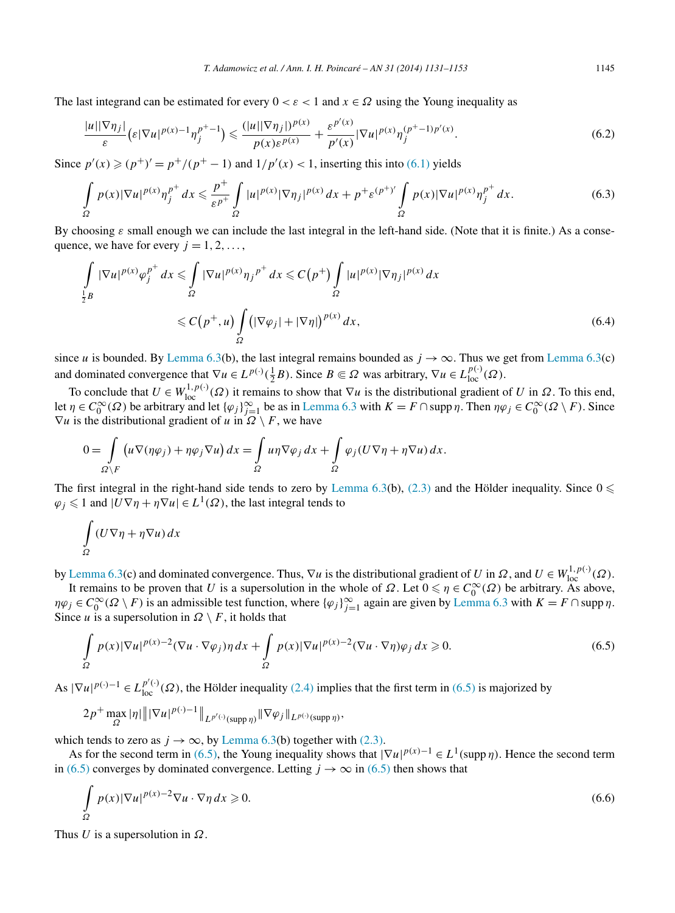The last integrand can be estimated for every  $0 < \varepsilon < 1$  and  $x \in \Omega$  using the Young inequality as

$$
\frac{|u||\nabla \eta_j|}{\varepsilon} \left(\varepsilon |\nabla u|^{p(x)-1} \eta_j^{p^+-1}\right) \leq \frac{(|u||\nabla \eta_j|)^{p(x)}}{p(x)\varepsilon^{p(x)}} + \frac{\varepsilon^{p'(x)}}{p'(x)} |\nabla u|^{p(x)} \eta_j^{(p^+-1)p'(x)}.
$$
\n
$$
(6.2)
$$

Since  $p'(x)$  ≥  $(p^+)' = p^+/(p^+ - 1)$  and  $1/p'(x) < 1$ , inserting this into [\(6.1\)](#page-13-0) yields

$$
\int_{\Omega} p(x)|\nabla u|^{p(x)} \eta_j^{p^+} dx \leq \frac{p^+}{\varepsilon^{p^+}} \int_{\Omega} |u|^{p(x)} |\nabla \eta_j|^{p(x)} dx + p^+ \varepsilon^{(p^+)}' \int_{\Omega} p(x)|\nabla u|^{p(x)} \eta_j^{p^+} dx. \tag{6.3}
$$

By choosing  $\varepsilon$  small enough we can include the last integral in the left-hand side. (Note that it is finite.) As a consequence, we have for every  $j = 1, 2, \ldots$ 

$$
\int_{\frac{1}{2}B} |\nabla u|^{p(x)} \varphi_j^{p^+} dx \leq \int_{\Omega} |\nabla u|^{p(x)} \eta_j^{p^+} dx \leq C(p^+) \int_{\Omega} |u|^{p(x)} |\nabla \eta_j|^{p(x)} dx
$$
\n
$$
\leq C(p^+, u) \int_{\Omega} (|\nabla \varphi_j| + |\nabla \eta|)^{p(x)} dx,
$$
\n(6.4)

since *u* is bounded. By [Lemma 6.3\(](#page-13-0)b), the last integral remains bounded as  $j \to \infty$ . Thus we get from Lemma 6.3(c) and dominated convergence that  $\nabla u \in L^{p(\cdot)}(\frac{1}{2}B)$ . Since  $B \subseteq \Omega$  was arbitrary,  $\nabla u \in L^{p(\cdot)}_{loc}(\Omega)$ .

To conclude that  $U \in W^{1,p(\cdot)}_{loc}(\Omega)$  it remains to show that  $\nabla u$  is the distributional gradient of *U* in  $\Omega$ . To this end, let  $\eta \in C_0^{\infty}(\Omega)$  be arbitrary and let  $\{\varphi_j\}_{j=1}^{\infty}$  be as in [Lemma 6.3](#page-13-0) with  $K = F \cap \text{supp }\eta$ . Then  $\eta \varphi_j \in C_0^{\infty}(\Omega \setminus F)$ . Since  $\nabla u$  is the distributional gradient of *u* in  $\Omega \setminus F$ , we have

$$
0 = \int_{\Omega \setminus F} \left( u \nabla (\eta \varphi_j) + \eta \varphi_j \nabla u \right) dx = \int_{\Omega} u \eta \nabla \varphi_j dx + \int_{\Omega} \varphi_j (U \nabla \eta + \eta \nabla u) dx.
$$

The first integral in the right-hand side tends to zero by [Lemma 6.3\(](#page-13-0)b), [\(2.3\)](#page-3-0) and the Hölder inequality. Since  $0 \le \pi$  $\varphi_j \leq 1$  and  $|U\nabla \eta + \eta \nabla u| \in L^1(\Omega)$ , the last integral tends to

$$
\int_{\Omega} (U \nabla \eta + \eta \nabla u) \, dx
$$

by [Lemma 6.3\(](#page-13-0)c) and dominated convergence. Thus,  $\nabla u$  is the distributional gradient of *U* in  $\Omega$ , and  $U \in W^{1,p(\cdot)}_{loc}(\Omega)$ .

It remains to be proven that *U* is a supersolution in the whole of  $\Omega$ . Let  $0 \le \eta \in C_0^{\infty}(\Omega)$  be arbitrary. As above,  $\eta \varphi_j \in C_0^{\infty}(\Omega \setminus F)$  is an admissible test function, where  $\{\varphi_j\}_{j=1}^{\infty}$  again are given by [Lemma 6.3](#page-13-0) with  $K = F \cap \text{supp } \eta$ . Since *u* is a supersolution in  $\Omega \setminus F$ , it holds that

$$
\int_{\Omega} p(x)|\nabla u|^{p(x)-2} (\nabla u \cdot \nabla \varphi_j) \eta \, dx + \int_{\Omega} p(x)|\nabla u|^{p(x)-2} (\nabla u \cdot \nabla \eta) \varphi_j \, dx \geq 0. \tag{6.5}
$$

As  $|\nabla u|^{p(\cdot)-1} \in L^{p'(\cdot)}_{loc}(\Omega)$ , the Hölder inequality [\(2.4\)](#page-3-0) implies that the first term in (6.5) is majorized by

$$
2p^+\max_{\Omega}|\eta|\||\nabla u|^{p(\cdot)-1}\|_{L^{p'(\cdot)}(\text{supp }\eta)}\|\nabla\varphi_j\|_{L^{p(\cdot)}(\text{supp }\eta)},
$$

which tends to zero as  $j \to \infty$ , by [Lemma 6.3\(](#page-13-0)b) together with [\(2.3\).](#page-3-0)

As for the second term in (6.5), the Young inequality shows that  $|\nabla u|^{p(x)-1} \in L^1(\text{supp }\eta)$ . Hence the second term in (6.5) converges by dominated convergence. Letting  $j \to \infty$  in (6.5) then shows that

$$
\int_{\Omega} p(x)|\nabla u|^{p(x)-2}\nabla u \cdot \nabla \eta \, dx \ge 0. \tag{6.6}
$$

Thus *U* is a supersolution in *Ω*.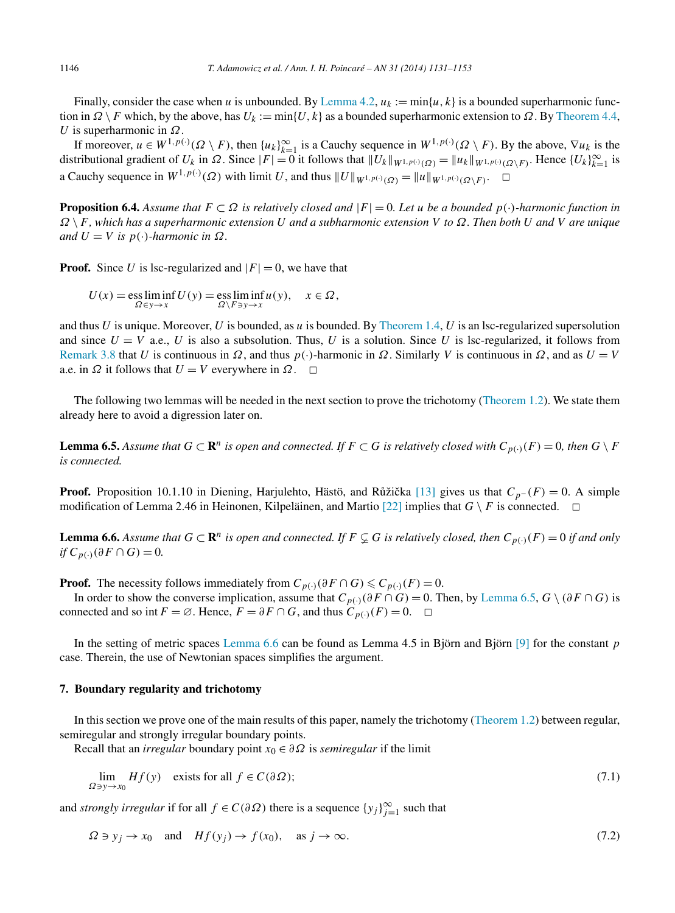<span id="page-15-0"></span>Finally, consider the case when *u* is unbounded. By [Lemma 4.2,](#page-8-0)  $u_k := \min\{u, k\}$  is a bounded superharmonic function in  $\Omega \setminus F$  which, by the above, has  $U_k := \min\{U, k\}$  as a bounded superharmonic extension to  $\Omega$ . By [Theorem 4.4,](#page-9-0) *U* is superharmonic in *Ω*.

If moreover,  $u \in W^{1,p(\cdot)}(\Omega \setminus F)$ , then  $\{u_k\}_{k=1}^{\infty}$  is a Cauchy sequence in  $W^{1,p(\cdot)}(\Omega \setminus F)$ . By the above,  $\nabla u_k$  is the distributional gradient of  $U_k$  in  $\Omega$ . Since  $|F| = 0$  it follows that  $||U_k||_{W^{1,p(\cdot)}(\Omega)} = ||u_k||_{W^{1,p(\cdot)}(\Omega \setminus F)}$ . Hence  $\{U_k\}_{k=1}^{\infty}$  is a Cauchy sequence in  $W^{1,p(\cdot)}(\Omega)$  with limit *U*, and thus  $||U||_{W^{1,p(\cdot)}(\Omega)} = ||u||_{W^{1,p(\cdot)}(\Omega \setminus F)}$ . □

**Proposition 6.4.** Assume that  $F \subset \Omega$  is relatively closed and  $|F| = 0$ . Let u be a bounded  $p(\cdot)$ *-harmonic function in Ω* \*F, which has a superharmonic extension U and a subharmonic extension V to Ω. Then both U and V are unique*  $and U = V$  *is*  $p(\cdot)$ *-harmonic in*  $\Omega$ *.* 

**Proof.** Since *U* is lsc-regularized and  $|F| = 0$ , we have that

$$
U(x) = \operatorname*{ess\,liminf}_{\Omega \in \mathcal{Y} \to x} U(y) = \operatorname*{ess\,liminf}_{\Omega \setminus F \ni y \to x} u(y), \quad x \in \Omega,
$$

and thus *U* is unique. Moreover, *U* is bounded, as *u* is bounded. By [Theorem 1.4,](#page-2-0) *U* is an lsc-regularized supersolution and since  $U = V$  a.e., *U* is also a subsolution. Thus, *U* is a solution. Since *U* is lsc-regularized, it follows from [Remark 3.8](#page-7-0) that *U* is continuous in *Ω*, and thus *p(*·*)*-harmonic in *Ω*. Similarly *V* is continuous in *Ω*, and as *U* = *V* a.e. in  $\Omega$  it follows that  $U = V$  everywhere in  $\Omega$ .  $\square$ 

The following two lemmas will be needed in the next section to prove the trichotomy [\(Theorem](#page-1-0) 1.2). We state them already here to avoid a digression later on.

**Lemma 6.5.** Assume that  $G \subset \mathbb{R}^n$  is open and connected. If  $F \subset G$  is relatively closed with  $C_{p(\cdot)}(F) = 0$ , then  $G \setminus F$ *is connected.*

**Proof.** Proposition 10.1.10 in Diening, Harjulehto, Hästö, and Růžička [\[13\]](#page-22-0) gives us that  $C_p$ −  $(F) = 0$ . A simple modification of Lemma 2.46 in Heinonen, Kilpeläinen, and Martio  $[22]$  implies that  $G \setminus F$  is connected.  $\Box$ 

**Lemma 6.6.** Assume that  $G \subset \mathbb{R}^n$  is open and connected. If  $F \subsetneq G$  is relatively closed, then  $C_{p(\cdot)}(F) = 0$  if and only *if*  $C_{p(.)}$  (∂F ∩ *G*) = 0*.* 

**Proof.** The necessity follows immediately from  $C_{p(\cdot)}(\partial F \cap G) \leq C_{p(\cdot)}(F) = 0$ .

In order to show the converse implication, assume that  $C_{p(\cdot)}(\partial F \cap G) = 0$ . Then, by Lemma 6.5,  $G \setminus (\partial F \cap G)$  is connected and so int  $F = \emptyset$ . Hence,  $F = \partial F \cap G$ , and thus  $C_{p(\cdot)}(F) = 0$ .  $\Box$ 

In the setting of metric spaces Lemma 6.6 can be found as Lemma 4.5 in Björn and Björn [\[9\]](#page-21-0) for the constant *p* case. Therein, the use of Newtonian spaces simplifies the argument.

#### **7. Boundary regularity and trichotomy**

In this section we prove one of the main results of this paper, namely the trichotomy [\(Theorem 1.2\)](#page-1-0) between regular, semiregular and strongly irregular boundary points.

Recall that an *irregular* boundary point  $x_0 \in \partial \Omega$  is *semiregular* if the limit

$$
\lim_{\Omega \ni y \to x_0} Hf(y) \quad \text{exists for all } f \in C(\partial \Omega); \tag{7.1}
$$

and *strongly irregular* if for all  $f \in C(\partial \Omega)$  there is a sequence  $\{y_j\}_{j=1}^{\infty}$  such that

$$
\Omega \ni y_j \to x_0 \quad \text{and} \quad Hf(y_j) \to f(x_0), \quad \text{as } j \to \infty. \tag{7.2}
$$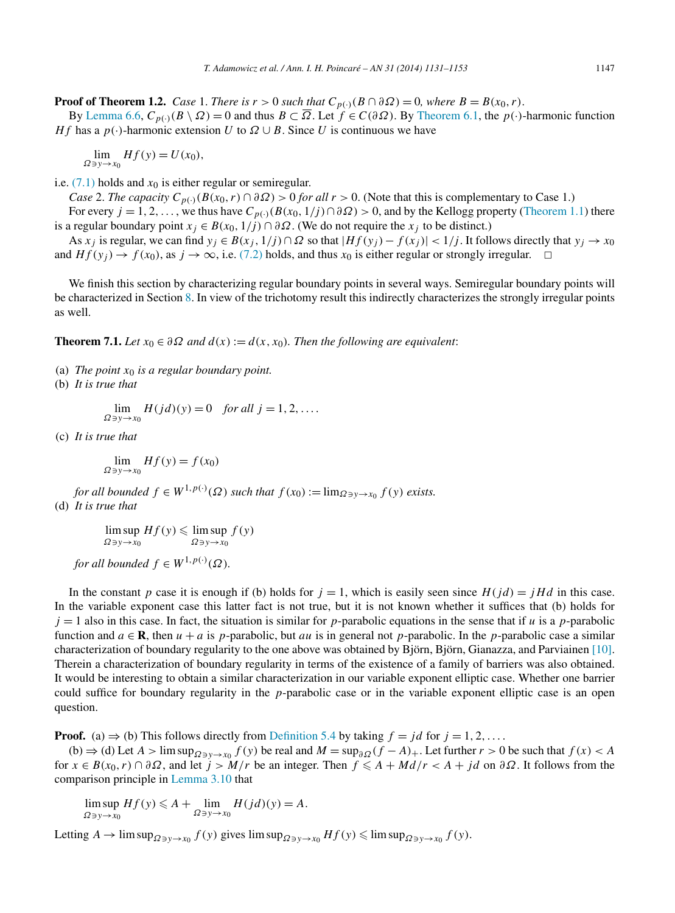<span id="page-16-0"></span>**Proof of Theorem 1.2.** *Case* 1. *There is*  $r > 0$  *such that*  $C_{p(\cdot)}(B \cap \partial \Omega) = 0$ *, where*  $B = B(x_0, r)$ .

By [Lemma 6.6,](#page-15-0)  $C_{p(\cdot)}(B \setminus \Omega) = 0$  and thus  $B \subset \overline{\Omega}$ . Let  $f \in C(\partial \Omega)$ . By [Theorem 6.1,](#page-12-0) the *p(*·)-harmonic function *Hf* has a  $p(\cdot)$ -harmonic extension *U* to  $\Omega \cup B$ . Since *U* is continuous we have

 $\lim_{\Omega \ni y \to x_0} Hf(y) = U(x_0),$ 

i.e.  $(7.1)$  holds and  $x_0$  is either regular or semiregular.

*Case* 2. *The capacity*  $C_{p(\cdot)}(B(x_0, r) \cap \partial \Omega) > 0$  *for all*  $r > 0$ . (Note that this is complementary to Case 1.) For every  $j = 1, 2, \ldots$ , we thus have  $C_{p(\cdot)}(B(x_0, 1/j) \cap \partial \Omega) > 0$ , and by the Kellogg property [\(Theorem 1.1\)](#page-1-0) there

is a regular boundary point  $x_j \in B(x_0, 1/j) \cap \partial \Omega$ . (We do not require the  $x_j$  to be distinct.)

As  $x_j$  is regular, we can find  $y_j \in B(x_j, 1/j) \cap \Omega$  so that  $|Hf(y_j) - f(x_j)| < 1/j$ . It follows directly that  $y_j \to x_0$ and  $Hf(y_i) \to f(x_0)$ , as  $j \to \infty$ , i.e. [\(7.2\)](#page-15-0) holds, and thus  $x_0$  is either regular or strongly irregular.  $\Box$ 

We finish this section by characterizing regular boundary points in several ways. Semiregular boundary points will be characterized in Section [8.](#page-17-0) In view of the trichotomy result this indirectly characterizes the strongly irregular points as well.

**Theorem 7.1.** *Let*  $x_0 \in \partial \Omega$  *and*  $d(x) := d(x, x_0)$ *. Then the following are equivalent:* 

- (a) *The point x*<sup>0</sup> *is a regular boundary point.*
- (b) *It is true that*

 $\lim_{\Omega \ni y \to x_0} H(jd)(y) = 0$  *for all*  $j = 1, 2, ...$ 

(c) *It is true that*

 $\lim_{\Omega \ni y \to x_0} Hf(y) = f(x_0)$ 

*for all bounded*  $f \in W^{1,p(\cdot)}(\Omega)$  *such that*  $f(x_0) := \lim_{\Omega \ni y \to x_0} f(y)$  *exists.* (d) *It is true that*

> lim sup *Ωy*→*x*<sup>0</sup>  $Hf(y) \leqslant \limsup$ *Ωy*→*x*<sup>0</sup> *f (y)*

*for all bounded*  $f \in W^{1,p(\cdot)}(\Omega)$ *.* 

In the constant *p* case it is enough if (b) holds for  $j = 1$ , which is easily seen since  $H(jd) = jHd$  in this case. In the variable exponent case this latter fact is not true, but it is not known whether it suffices that (b) holds for  $j = 1$  also in this case. In fact, the situation is similar for *p*-parabolic equations in the sense that if *u* is a *p*-parabolic function and  $a \in \mathbb{R}$ , then  $u + a$  is *p*-parabolic, but *au* is in general not *p*-parabolic. In the *p*-parabolic case a similar characterization of boundary regularity to the one above was obtained by Björn, Björn, Gianazza, and Parviainen [\[10\].](#page-21-0) Therein a characterization of boundary regularity in terms of the existence of a family of barriers was also obtained. It would be interesting to obtain a similar characterization in our variable exponent elliptic case. Whether one barrier could suffice for boundary regularity in the *p*-parabolic case or in the variable exponent elliptic case is an open question.

**Proof.** (a)  $\Rightarrow$  (b) This follows directly from [Definition 5.4](#page-11-0) by taking  $f = jd$  for  $j = 1, 2, \ldots$ 

(b)  $\Rightarrow$  (d) Let *A* > lim sup<sub> $Ω ∋ v → x_0$ </sub>  $f(y)$  be real and  $M = \sup_{\partial \Omega} (f - A)_+$ . Let further  $r > 0$  be such that  $f(x) < A$ for *x* ∈ *B*(*x*<sub>0</sub>, *r*) ∩ ∂Ω, and let  $j > M/r$  be an integer. Then  $f \le A + Md/r < A + jd$  on ∂Ω. It follows from the comparison principle in [Lemma 3.10](#page-7-0) that

 $\limsup_{\Omega \ni y \to x_0} Hf(y) \leqslant A + \lim_{\Omega \ni y \to x_0} H(jd)(y) = A.$  $Ω$  *⇒ y* →  $\overline{x_0}$ 

Letting  $A \to \limsup_{\Omega \ni y \to x_0} f(y)$  gives  $\limsup_{\Omega \ni y \to x_0} Hf(y) \leq \limsup_{\Omega \ni y \to x_0} f(y)$ .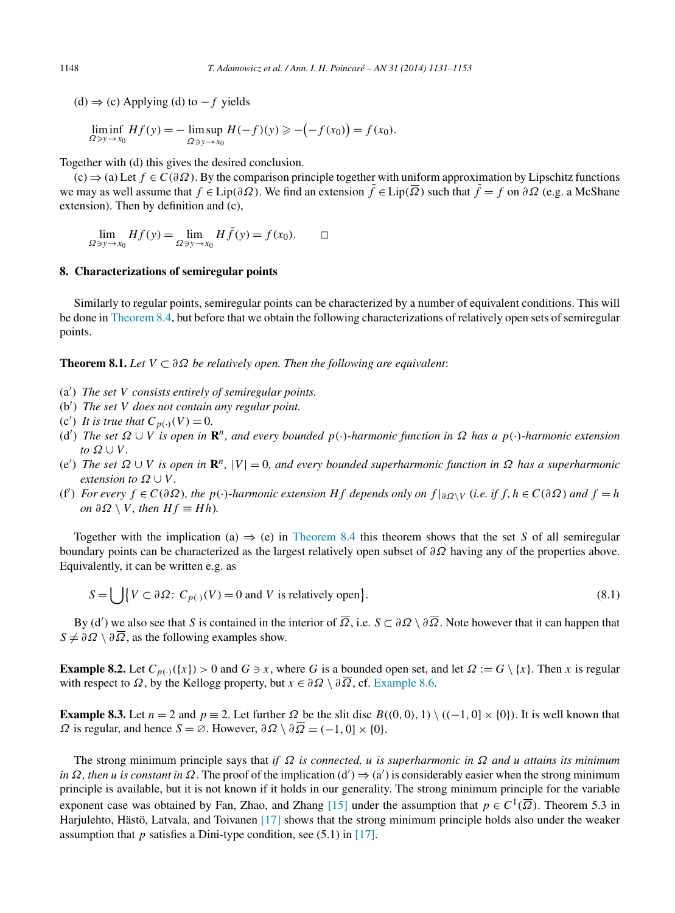<span id="page-17-0"></span>(d)  $\Rightarrow$  (c) Applying (d) to  $-f$  yields

$$
\liminf_{\Omega \ni y \to x_0} Hf(y) = -\limsup_{\Omega \ni y \to x_0} H(-f)(y) \geqslant -(-f(x_0)) = f(x_0).
$$

Together with (d) this gives the desired conclusion.

(c) ⇒ (a) Let *f* ∈ *C(∂Ω)*. By the comparison principle together with uniform approximation by Lipschitz functions we may as well assume that  $f \in Lip(\partial \Omega)$ . We find an extension  $\tilde{f} \in Lip(\overline{\Omega})$  such that  $\tilde{f} = f$  on  $\partial \Omega$  (e.g. a McShane extension). Then by definition and (c),

$$
\lim_{\Omega \ni y \to x_0} Hf(y) = \lim_{\Omega \ni y \to x_0} H\tilde{f}(y) = f(x_0). \qquad \Box
$$

# **8. Characterizations of semiregular points**

Similarly to regular points, semiregular points can be characterized by a number of equivalent conditions. This will be done in [Theorem 8.4,](#page-19-0) but before that we obtain the following characterizations of relatively open sets of semiregular points.

**Theorem 8.1.** *Let*  $V \subset \partial \Omega$  *be relatively open. Then the following are equivalent:* 

- (a ) *The set V consists entirely of semiregular points.*
- (b ) *The set V does not contain any regular point.*
- (c') It is true that  $C_{p(·)}(V) = 0$ .
- (d ) *The set Ω* ∪ *V is open in* **R***n, and every bounded p(*·*)-harmonic function in Ω has a p(*·*)-harmonic extension to*  $\Omega \cup V$ .
- (e ) *The set Ω* ∪ *V is open in* **R***n,* |*V* | = 0*, and every bounded superharmonic function in Ω has a superharmonic extension to*  $\Omega \cup V$ .
- (f') For every  $f \in C(\partial\Omega)$ , the  $p(\cdot)$ -harmonic extension Hf depends only on  $f|_{\partial\Omega\setminus V}$  (i.e. if  $f, h \in C(\partial\Omega)$  and  $f = h$  $\partial P \wedge V$ *, then*  $Hf \equiv Hh$ *).*

Together with the implication (a)  $\Rightarrow$  (e) in [Theorem 8.4](#page-19-0) this theorem shows that the set *S* of all semiregular boundary points can be characterized as the largest relatively open subset of *∂Ω* having any of the properties above. Equivalently, it can be written e.g. as

$$
S = \bigcup \{ V \subset \partial \Omega : C_{p(\cdot)}(V) = 0 \text{ and } V \text{ is relatively open} \}. \tag{8.1}
$$

By (d ) we also see that *S* is contained in the interior of *Ω*, i.e. *S* ⊂ *∂Ω* \ *∂Ω*. Note however that it can happen that  $S \neq \partial \Omega \setminus \partial \overline{\Omega}$ , as the following examples show.

**Example 8.2.** Let  $C_{p(\cdot)}(\{x\}) > 0$  and  $G \ni x$ , where *G* is a bounded open set, and let  $\Omega := G \setminus \{x\}$ . Then *x* is regular with respect to  $\Omega$ , by the Kellogg property, but  $x \in \partial \Omega \setminus \partial \overline{\Omega}$ , cf. [Example 8.6.](#page-21-0)

**Example 8.3.** Let  $n = 2$  and  $p \equiv 2$ . Let further  $\Omega$  be the slit disc  $B((0, 0), 1) \setminus ((-1, 0] \times \{0\})$ . It is well known that *Ω* is regular, and hence *S* = ∅. However,  $\partial Ω \setminus \partial \overline{Ω}$  = *(*−1*,* 0] × {0}.

The strong minimum principle says that *if Ω is connected, u is superharmonic in Ω and u attains its minimum in*  $\Omega$ , *then u is constant in*  $\Omega$ . The proof of the implication (d')  $\Rightarrow$  (a') is considerably easier when the strong minimum principle is available, but it is not known if it holds in our generality. The strong minimum principle for the variable exponent case was obtained by Fan, Zhao, and Zhang [\[15\]](#page-22-0) under the assumption that  $p \in C^1(\overline{\Omega})$ . Theorem 5.3 in Harjulehto, Hästö, Latvala, and Toivanen [\[17\]](#page-22-0) shows that the strong minimum principle holds also under the weaker assumption that *p* satisfies a Dini-type condition, see (5.1) in [\[17\].](#page-22-0)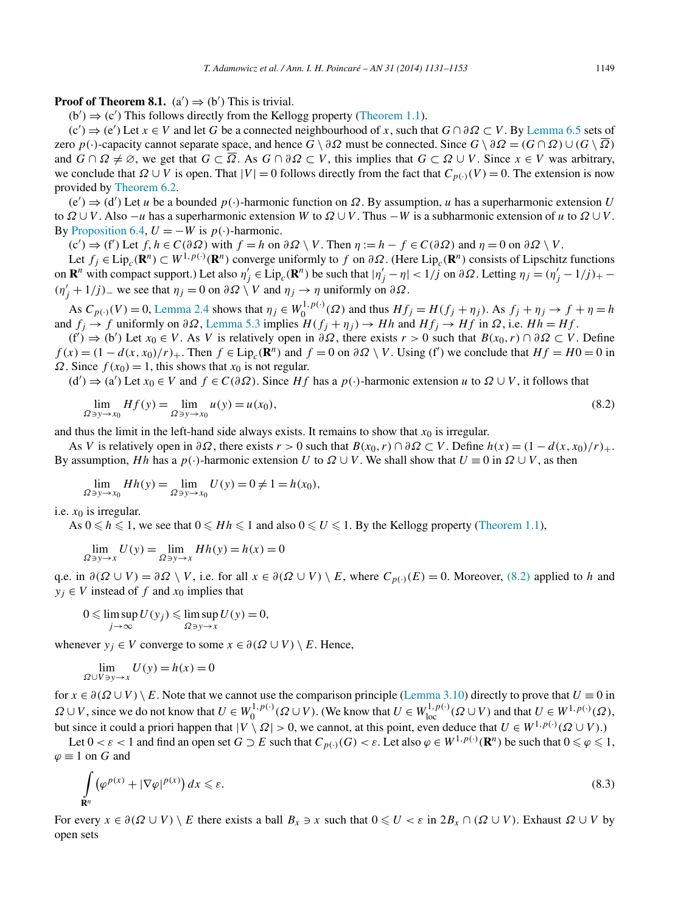<span id="page-18-0"></span>**Proof of Theorem 8.1.**  $(a') \Rightarrow (b')$  This is trivial.

 $(b') \Rightarrow (c')$  This follows directly from the Kellogg property [\(Theorem 1.1\)](#page-1-0).

 $(c') \Rightarrow (e')$  Let  $x \in V$  and let *G* be a connected neighbourhood of *x*, such that  $G \cap \partial \Omega \subset V$ . By [Lemma 6.5](#page-15-0) sets of zero  $p(\cdot)$ -capacity cannot separate space, and hence  $G \setminus \partial \Omega$  must be connected. Since  $G \setminus \partial \Omega = (G \cap \Omega) \cup (G \setminus \overline{\Omega})$ and  $G \cap \Omega \neq \emptyset$ , we get that  $G \subset \overline{\Omega}$ . As  $G \cap \partial \Omega \subset V$ , this implies that  $G \subset \Omega \cup V$ . Since  $x \in V$  was arbitrary, we conclude that  $\Omega \cup V$  is open. That  $|V| = 0$  follows directly from the fact that  $C_{p(\cdot)}(V) = 0$ . The extension is now provided by [Theorem 6.2.](#page-13-0)

 $(e') \Rightarrow (d')$  Let *u* be a bounded  $p(\cdot)$ -harmonic function on  $\Omega$ . By assumption, *u* has a superharmonic extension *U* to *Ω* ∪*V* . Also −*u* has a superharmonic extension *W* to *Ω* ∪*V* . Thus −*W* is a subharmonic extension of *u* to *Ω* ∪*V* . By [Proposition 6.4,](#page-15-0)  $U = -W$  is  $p(\cdot)$ -harmonic.

 $(c') \Rightarrow (f')$  Let  $f, h \in C(\partial \Omega)$  with  $f = h$  on  $\partial \Omega \setminus V$ . Then  $\eta := h - f \in C(\partial \Omega)$  and  $\eta = 0$  on  $\partial \Omega \setminus V$ .

Let *fj* <sup>∈</sup> Lip*c(***R***n)* <sup>⊂</sup> *<sup>W</sup>*1*,p(*·*) (***R***n)* converge uniformly to *f* on *∂Ω*. (Here Lip*c(***R***n)* consists of Lipschitz functions on  $\mathbf{R}^n$  with compact support.) Let also  $\eta'_j \in \text{Lip}_c(\mathbf{R}^n)$  be such that  $|\eta'_j - \eta| < 1/j$  on  $\partial \Omega$ . Letting  $\eta_j = (\eta'_j - 1/j)_+$ *(n'<sub>j</sub>* + 1/*j*) − we see that  $η_j = 0$  on  $∂Ω \setminus V$  and  $η_j \rightarrow η$  uniformly on  $∂Ω$ .

As  $C_{p(\cdot)}(V) = 0$ , [Lemma 2.4](#page-4-0) shows that  $\eta_j \in W_0^{1,p(\cdot)}(\Omega)$  and thus  $Hf_j = H(f_j + \eta_j)$ . As  $f_j + \eta_j \to f + \eta = h$ and  $f_i \to f$  uniformly on  $\partial \Omega$ , [Lemma 5.3](#page-10-0) implies  $H(f_i + \eta_i) \to Hh$  and  $Hf_i \to Hf$  in  $\Omega$ , i.e.  $Hh = Hf$ .

(f ) ⇒ (b ) Let *x*<sup>0</sup> ∈ *V* . As *V* is relatively open in *∂Ω*, there exists *r >* 0 such that *B(x*0*,r)* ∩ *∂Ω* ⊂ *V* . Define  $f(x) = (1 - d(x, x_0)/r) +$ . Then  $f \in Lip_c(\mathbb{R}^n)$  and  $f = 0$  on  $\partial \Omega \setminus V$ . Using (f) we conclude that  $Hf = H0 = 0$  in *Ω*. Since  $f(x_0) = 1$ , this shows that  $x_0$  is not regular.

 $(d')$   $\Rightarrow$   $(a')$  Let *x*<sub>0</sub> ∈ *V* and *f* ∈ *C*(∂*Ω*). Since *Hf* has a *p*(·*)*-harmonic extension *u* to *Ω* ∪ *V*, it follows that

$$
\lim_{\Omega \to y \to x_0} Hf(y) = \lim_{\Omega \to y \to x_0} u(y) = u(x_0),
$$
\n(8.2)

and thus the limit in the left-hand side always exists. It remains to show that  $x<sub>0</sub>$  is irregular.

As *V* is relatively open in  $\partial \Omega$ , there exists  $r > 0$  such that  $B(x_0, r) \cap \partial \Omega \subset V$ . Define  $h(x) = (1 - d(x, x_0)/r) +$ . By assumption, *Hh* has a  $p(\cdot)$ -harmonic extension *U* to  $\Omega \cup V$ . We shall show that  $U \equiv 0$  in  $\Omega \cup V$ , as then

$$
\lim_{\Omega \ni y \to x_0} Hh(y) = \lim_{\Omega \ni y \to x_0} U(y) = 0 \neq 1 = h(x_0),
$$

i.e.  $x_0$  is irregular.

As  $0 \le h \le 1$ , we see that  $0 \le Hh \le 1$  and also  $0 \le U \le 1$ . By the Kellogg property [\(Theorem 1.1\)](#page-1-0),

$$
\lim_{\Omega \ni y \to x} U(y) = \lim_{\Omega \ni y \to x} Hh(y) = h(x) = 0
$$

q.e. in  $\partial(\Omega \cup V) = \partial \Omega \setminus V$ , i.e. for all  $x \in \partial(\Omega \cup V) \setminus E$ , where  $C_{p(\cdot)}(E) = 0$ . Moreover, (8.2) applied to *h* and  $y_i \in V$  instead of *f* and  $x_0$  implies that

$$
0 \leqslant \limsup_{j \to \infty} U(y_j) \leqslant \limsup_{\Omega \ni y \to x} U(y) = 0,
$$

whenever  $y_i \in V$  converge to some  $x \in \partial(\Omega \cup V) \setminus E$ . Hence,

$$
\lim_{\Omega \cup V \ni y \to x} U(y) = h(x) = 0
$$

for  $x \in \partial(\Omega \cup V) \setminus E$ . Note that we cannot use the comparison principle [\(Lemma 3.10\)](#page-7-0) directly to prove that  $U \equiv 0$  in  $\Omega \cup V$ , since we do not know that  $U \in W_0^{1,p(\cdot)}(\Omega \cup V)$ . (We know that  $U \in W_{loc}^{1,p(\cdot)}(\Omega \cup V)$  and that  $U \in W^{1,p(\cdot)}(\Omega)$ , but since it could a priori happen that  $|V \setminus \Omega| > 0$ , we cannot, at this point, even deduce that  $U \in W^{1,p(\cdot)}(\Omega \cup V)$ .)

Let  $0 < \varepsilon < 1$  and find an open set  $G \supset E$  such that  $C_{p(\cdot)}(G) < \varepsilon$ . Let also  $\varphi \in W^{1,p(\cdot)}(\mathbf{R}^n)$  be such that  $0 \le \varphi \le 1$ ,  $\varphi \equiv 1$  on *G* and

$$
\int_{\mathbf{R}^n} \left( \varphi^{p(x)} + |\nabla \varphi|^{p(x)} \right) dx \leqslant \varepsilon. \tag{8.3}
$$

For every  $x \in \partial(\Omega \cup V) \setminus E$  there exists a ball  $B_x \ni x$  such that  $0 \leq U < \varepsilon$  in  $2B_x \cap (\Omega \cup V)$ . Exhaust  $\Omega \cup V$  by open sets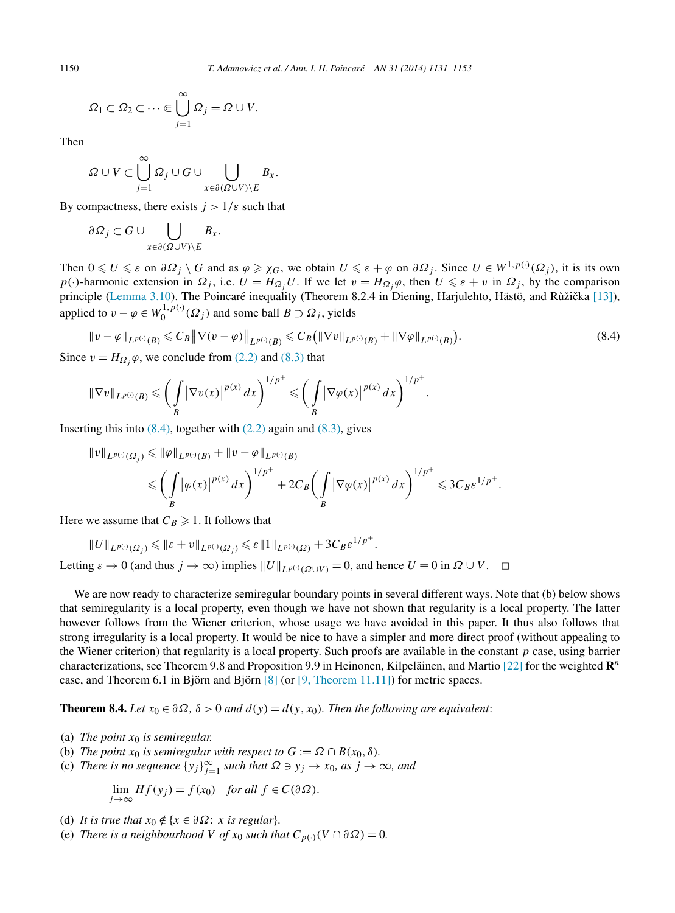$$
\Omega_1 \subset \Omega_2 \subset \cdots \in \bigcup_{j=1}^{\infty} \Omega_j = \Omega \cup V.
$$

Then

$$
\overline{\Omega \cup V} \subset \bigcup_{j=1}^{\infty} \Omega_j \cup G \cup \bigcup_{x \in \partial(\Omega \cup V) \setminus E} B_x.
$$

By compactness, there exists  $j > 1/\varepsilon$  such that

$$
\partial \Omega_j \subset G \cup \bigcup_{x \in \partial(\Omega \cup V) \setminus E} B_x.
$$

Then  $0 \le U \le \varepsilon$  on  $\partial \Omega_j \setminus G$  and as  $\varphi \ge \chi_G$ , we obtain  $U \le \varepsilon + \varphi$  on  $\partial \Omega_j$ . Since  $U \in W^{1,p(\cdot)}(\Omega_j)$ , it is its own *p*(·*)*-harmonic extension in  $\Omega_j$ , i.e.  $U = H_{\Omega_j} U$ . If we let  $v = H_{\Omega_j} \varphi$ , then  $U \leq \varepsilon + v$  in  $\Omega_j$ , by the comparison principle [\(Lemma 3.10\)](#page-7-0). The Poincaré inequality (Theorem 8.2.4 in Diening, Harjulehto, Hästö, and Růžička [\[13\]\)](#page-22-0), applied to  $v - \varphi \in W_0^{1, p(\cdot)}(\Omega_j)$  and some ball  $B \supset \Omega_j$ , yields

$$
\|v - \varphi\|_{L^{p(\cdot)}(B)} \leq C_B \|\nabla(v - \varphi)\|_{L^{p(\cdot)}(B)} \leq C_B \left(\|\nabla v\|_{L^{p(\cdot)}(B)} + \|\nabla \varphi\|_{L^{p(\cdot)}(B)}\right).
$$
\n
$$
(8.4)
$$

Since  $v = H_{\Omega}$ ;  $\varphi$ , we conclude from [\(2.2\)](#page-3-0) and [\(8.3\)](#page-18-0) that

$$
\|\nabla v\|_{L^{p(\cdot)}(B)} \leqslant \bigg(\int\limits_B |\nabla v(x)|^{p(x)}\,dx\bigg)^{1/p^+} \leqslant \bigg(\int\limits_B |\nabla \varphi(x)|^{p(x)}\,dx\bigg)^{1/p^+}.
$$

Inserting this into  $(8.4)$ , together with  $(2.2)$  again and  $(8.3)$ , gives

$$
\begin{aligned} \|v\|_{L^{p(\cdot)}(\Omega_j)} &\leqslant \|\varphi\|_{L^{p(\cdot)}(B)} + \|v-\varphi\|_{L^{p(\cdot)}(B)}\\ &\leqslant \bigg(\int\limits_B \big|\varphi(x)\big|^{p(x)}\,dx\bigg)^{1/p^+} + 2C_B\bigg(\int\limits_B \big|\nabla\varphi(x)\big|^{p(x)}\,dx\bigg)^{1/p^+} \leqslant 3C_B\varepsilon^{1/p^+}. \end{aligned}
$$

Here we assume that  $C_B \geq 1$ . It follows that

$$
\|U\|_{L^{p(\cdot)}(\varOmega_j)}\leqslant \|\varepsilon+v\|_{L^{p(\cdot)}(\varOmega_j)}\leqslant \varepsilon\|1\|_{L^{p(\cdot)}(\varOmega)}+3C_B\varepsilon^{1/p^+}.
$$

Letting  $\varepsilon \to 0$  (and thus  $j \to \infty$ ) implies  $||U||_{L^{p(\cdot)}(\Omega \cup V)} = 0$ , and hence  $U \equiv 0$  in  $\Omega \cup V$ .  $\Box$ 

We are now ready to characterize semiregular boundary points in several different ways. Note that (b) below shows that semiregularity is a local property, even though we have not shown that regularity is a local property. The latter however follows from the Wiener criterion, whose usage we have avoided in this paper. It thus also follows that strong irregularity is a local property. It would be nice to have a simpler and more direct proof (without appealing to the Wiener criterion) that regularity is a local property. Such proofs are available in the constant *p* case, using barrier characterizations, see Theorem 9.8 and Proposition 9.9 in Heinonen, Kilpeläinen, and Martio [\[22\]](#page-22-0) for the weighted **R***<sup>n</sup>* case, and Theorem 6.1 in Björn and Björn  $[8]$  (or  $[9,$  Theorem 11.11]) for metric spaces.

**Theorem 8.4.** *Let*  $x_0 \in \partial \Omega$ ,  $\delta > 0$  *and*  $d(y) = d(y, x_0)$ *. Then the following are equivalent:* 

- (a) *The point x*<sup>0</sup> *is semiregular.*
- (b) *The point*  $x_0$  *is semiregular with respect to*  $G := \Omega \cap B(x_0, \delta)$ *.*
- (c) *There is no sequence*  $\{y_j\}_{j=1}^{\infty}$  *such that*  $\Omega \ni y_j \to x_0$ *, as*  $j \to \infty$ *, and*

$$
\lim_{j \to \infty} Hf(y_j) = f(x_0) \quad \text{for all } f \in C(\partial \Omega).
$$

- (d) *It is true that*  $x_0 \notin \{x \in \partial\Omega : x \text{ is regular}\}.$
- (e) *There is a neighbourhood V of*  $x_0$  *such that*  $C_{p(\cdot)}(V \cap \partial \Omega) = 0$ .

<span id="page-19-0"></span>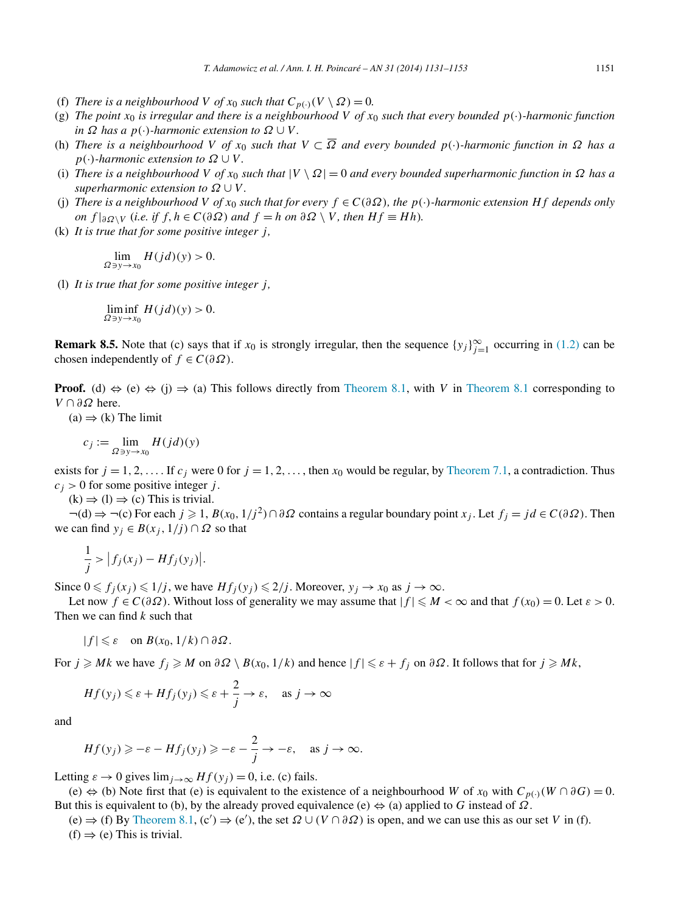- (f) *There is a neighbourhood V of*  $x_0$  *such that*  $C_{p(\cdot)}(V \setminus \Omega) = 0$ .
- (g) The point  $x_0$  is irregular and there is a neighbourhood V of  $x_0$  such that every bounded  $p(\cdot)$ -harmonic function  $in \Omega$  *has a*  $p(\cdot)$ *-harmonic extension to*  $\Omega \cup V$ *.*
- (h) *There is a neighbourhood V of x*<sup>0</sup> *such that V* ⊂ *Ω and every bounded p(*·*)-harmonic function in Ω has a*  $p(\cdot)$ *-harmonic extension to*  $\Omega \cup V$ *.*
- (i) *There is a neighbourhood V* of  $x_0$  such that  $|V \setminus \Omega| = 0$  and every bounded superharmonic function in  $\Omega$  has a *superharmonic extension to*  $\Omega \cup V$ .
- (j) *There is a neighbourhood V* of  $x_0$  *such that for every*  $f \in C(\partial \Omega)$ *, the*  $p(\cdot)$ *-harmonic extension Hf depends only on*  $f|∂Q\setminus V$  (*i.e. if*  $f, h ∈ C(∂Q)$  *and*  $f = h$  *on*  $∂Q \setminus V$ *, then*  $Hf ≡ Hh$ *).*
- (k) *It is true that for some positive integer j ,*

$$
\lim_{\Omega\ni y\to x_0} H(jd)(y) > 0.
$$

(l) *It is true that for some positive integer j ,*

$$
\liminf_{\Omega\ni y\to x_0} H(jd)(y) > 0.
$$

**Remark 8.5.** Note that (c) says that if  $x_0$  is strongly irregular, then the sequence  $\{y_j\}_{j=1}^{\infty}$  occurring in [\(1.2\)](#page-1-0) can be chosen independently of  $f \in C(\partial \Omega)$ .

**Proof.** (d)  $\Leftrightarrow$  (e)  $\Leftrightarrow$  (j)  $\Rightarrow$  (a) This follows directly from [Theorem 8.1,](#page-17-0) with *V* in [Theorem 8.1](#page-17-0) corresponding to *V* ∩ *∂Ω* here.

 $(a) \Rightarrow (k)$  The limit

$$
c_j := \lim_{\Omega \ni y \to x_0} H(jd)(y)
$$

exists for  $j = 1, 2, \ldots$  If  $c_j$  were 0 for  $j = 1, 2, \ldots$ , then  $x_0$  would be regular, by [Theorem 7.1,](#page-16-0) a contradiction. Thus  $c_j$  > 0 for some positive integer *j*.

 $(k) \Rightarrow (l) \Rightarrow (c)$  This is trivial.

 $\neg(d) \Rightarrow \neg(c)$  For each  $j \ge 1$ ,  $B(x_0, 1/j^2) \cap \partial \Omega$  contains a regular boundary point  $x_j$ . Let  $f_j = jd \in C(\partial \Omega)$ . Then we can find  $y_j \in B(x_j, 1/j) \cap \Omega$  so that

$$
\frac{1}{j} > |f_j(x_j) - Hf_j(y_j)|.
$$

Since  $0 \le f_j(x_j) \le 1/j$ , we have  $Hf_j(y_j) \le 2/j$ . Moreover,  $y_j \to x_0$  as  $j \to \infty$ .

Let now  $f \in C(\partial \Omega)$ . Without loss of generality we may assume that  $|f| \le M < \infty$  and that  $f(x_0) = 0$ . Let  $\varepsilon > 0$ . Then we can find *k* such that

$$
|f| \leq \varepsilon \quad \text{on } B(x_0, 1/k) \cap \partial \Omega.
$$

 $\text{For } j \geq Mk \text{ we have } f_j \geq M \text{ on } \partial \Omega \setminus B(x_0, 1/k) \text{ and hence } |f| \leq \varepsilon + f_j \text{ on } \partial \Omega.$  It follows that for  $j \geq Mk$ ,

$$
Hf(y_j) \le \varepsilon + Hf_j(y_j) \le \varepsilon + \frac{2}{j} \to \varepsilon, \quad \text{as } j \to \infty
$$

and

$$
Hf(y_j) \geqslant -\varepsilon - Hf_j(y_j) \geqslant -\varepsilon - \frac{2}{j} \to -\varepsilon, \quad \text{as } j \to \infty.
$$

Letting  $\varepsilon \to 0$  gives  $\lim_{i \to \infty} Hf(y_i) = 0$ , i.e. (c) fails.

(e)  $\Leftrightarrow$  (b) Note first that (e) is equivalent to the existence of a neighbourhood *W* of *x*<sub>0</sub> with  $C_{p(·)}(W ∩ ∂G) = 0$ . But this is equivalent to (b), by the already proved equivalence (e) ⇔ (a) applied to *G* instead of *Ω*.

 $(e) \Rightarrow$  (f) By [Theorem 8.1,](#page-17-0)  $(c') \Rightarrow$   $(e')$ , the set  $\Omega \cup (V \cap \partial \Omega)$  is open, and we can use this as our set *V* in (f).  $(f) \Rightarrow (e)$  This is trivial.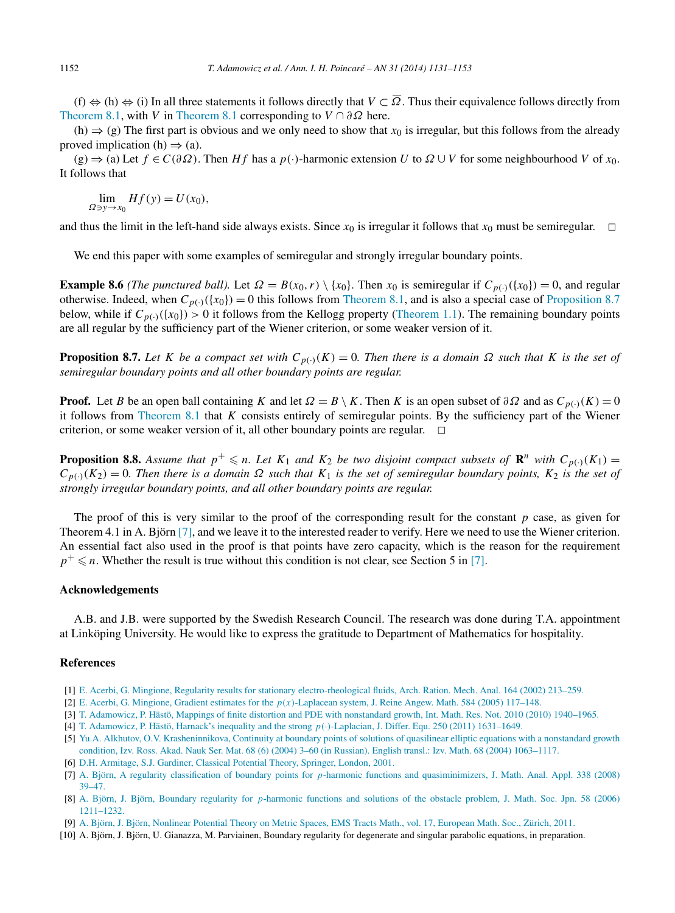<span id="page-21-0"></span>(f)  $\Leftrightarrow$  (h)  $\Leftrightarrow$  (i) In all three statements it follows directly that *V* ⊂  $\overline{\Omega}$ . Thus their equivalence follows directly from [Theorem 8.1,](#page-17-0) with *V* in [Theorem 8.1](#page-17-0) corresponding to *V* ∩ *∂Ω* here.

(h)  $\Rightarrow$  (g) The first part is obvious and we only need to show that *x*<sub>0</sub> is irregular, but this follows from the already proved implication (h)  $\Rightarrow$  (a).

 $(g) \Rightarrow$  (a) Let  $f \in C(\partial \Omega)$ . Then *Hf* has a *p*(·)-harmonic extension *U* to  $\Omega \cup V$  for some neighbourhood *V* of *x*<sub>0</sub>. It follows that

 $\lim_{\Omega \ni y \to x_0} Hf(y) = U(x_0),$ 

and thus the limit in the left-hand side always exists. Since  $x_0$  is irregular it follows that  $x_0$  must be semiregular.  $\Box$ 

We end this paper with some examples of semiregular and strongly irregular boundary points.

**Example 8.6** *(The punctured ball).* Let  $\Omega = B(x_0, r) \setminus \{x_0\}$ . Then  $x_0$  is semiregular if  $C_{p(\cdot)}(\{x_0\}) = 0$ , and regular otherwise. Indeed, when  $C_{p(\cdot)}(\{x_0\}) = 0$  this follows from [Theorem 8.1,](#page-17-0) and is also a special case of Proposition 8.7 below, while if  $C_{p(\cdot)}(\{x_0\}) > 0$  it follows from the Kellogg property [\(Theorem 1.1\)](#page-1-0). The remaining boundary points are all regular by the sufficiency part of the Wiener criterion, or some weaker version of it.

**Proposition 8.7.** Let *K* be a compact set with  $C_{p(\cdot)}(K) = 0$ . Then there is a domain  $\Omega$  such that *K* is the set of *semiregular boundary points and all other boundary points are regular.*

**Proof.** Let *B* be an open ball containing *K* and let  $\Omega = B \setminus K$ . Then *K* is an open subset of  $\partial \Omega$  and as  $C_{p(\cdot)}(K) = 0$ it follows from [Theorem 8.1](#page-17-0) that *K* consists entirely of semiregular points. By the sufficiency part of the Wiener criterion, or some weaker version of it, all other boundary points are regular.  $\Box$ 

**Proposition 8.8.** Assume that  $p^+ \le n$ . Let  $K_1$  and  $K_2$  be two disjoint compact subsets of  $\mathbb{R}^n$  with  $C_{p(\cdot)}(K_1)$  =  $C_{p(\cdot)}(K_2) = 0$ . Then there is a domain  $\Omega$  such that  $K_1$  is the set of semiregular boundary points,  $K_2$  is the set of *strongly irregular boundary points, and all other boundary points are regular.*

The proof of this is very similar to the proof of the corresponding result for the constant *p* case, as given for Theorem 4.1 in A. Björn [7], and we leave it to the interested reader to verify. Here we need to use the Wiener criterion. An essential fact also used in the proof is that points have zero capacity, which is the reason for the requirement  $p^+ \leq n$ . Whether the result is true without this condition is not clear, see Section 5 in [7].

#### **Acknowledgements**

A.B. and J.B. were supported by the Swedish Research Council. The research was done during T.A. appointment at Linköping University. He would like to express the gratitude to Department of Mathematics for hospitality.

# **References**

- [1] [E. Acerbi, G. Mingione, Regularity results for stationary electro-rheological fluids, Arch. Ration. Mech. Anal. 164 \(2002\) 213–259.](http://refhub.elsevier.com/S0294-1449(13)00101-7/bib414D3032s1)
- [2] E. Acerbi, G. Mingione, Gradient estimates for the *p(x)*[-Laplacean system, J. Reine Angew. Math. 584 \(2005\) 117–148.](http://refhub.elsevier.com/S0294-1449(13)00101-7/bib414D34s1)
- [3] [T. Adamowicz, P. Hästö, Mappings of finite distortion and PDE with nonstandard growth, Int. Math. Res. Not. 2010 \(2010\) 1940–1965.](http://refhub.elsevier.com/S0294-1449(13)00101-7/bib4164483039s1)
- [4] [T. Adamowicz, P. Hästö, Harnack's inequality and the strong](http://refhub.elsevier.com/S0294-1449(13)00101-7/bib4164483130s1) *p(*·*)*-Laplacian, J. Differ. Equ. 250 (2011) 1631–1649.
- [5] [Yu.A. Alkhutov, O.V. Krasheninnikova, Continuity at boundary points of solutions of quasilinear elliptic equations with a nonstandard growth](http://refhub.elsevier.com/S0294-1449(13)00101-7/bib416C6B6875746F762D4Bs1) [condition, Izv. Ross. Akad. Nauk Ser. Mat. 68 \(6\) \(2004\) 3–60 \(in Russian\). English transl.: Izv. Math. 68 \(2004\) 1063–1117.](http://refhub.elsevier.com/S0294-1449(13)00101-7/bib416C6B6875746F762D4Bs1)
- [6] D.H. [Armitage, S.J. Gardiner, Classical Potential Theory, Springer, London, 2001.](http://refhub.elsevier.com/S0294-1449(13)00101-7/bib4147s1)
- [7] A. Björn, A regularity classification of boundary points for *p*[-harmonic functions and quasiminimizers, J. Math. Anal. Appl. 338 \(2008\)](http://refhub.elsevier.com/S0294-1449(13)00101-7/bib4142636C617373s1) [39–47.](http://refhub.elsevier.com/S0294-1449(13)00101-7/bib4142636C617373s1)
- [8] A. Björn, J. Björn, Boundary regularity for *p*[-harmonic functions and solutions of the obstacle problem, J. Math. Soc. Jpn. 58 \(2006\)](http://refhub.elsevier.com/S0294-1449(13)00101-7/bib4242s1) [1211–1232.](http://refhub.elsevier.com/S0294-1449(13)00101-7/bib4242s1)
- [9] A. [Björn, J. Björn, Nonlinear Potential Theory on Metric Spaces, EMS Tracts Math., vol. 17, European Math. Soc., Zürich, 2011.](http://refhub.elsevier.com/S0294-1449(13)00101-7/bib4242626F6F6Bs1)
- [10] A. Björn, J. Björn, U. Gianazza, M. Parviainen, Boundary regularity for degenerate and singular parabolic equations, in preparation.